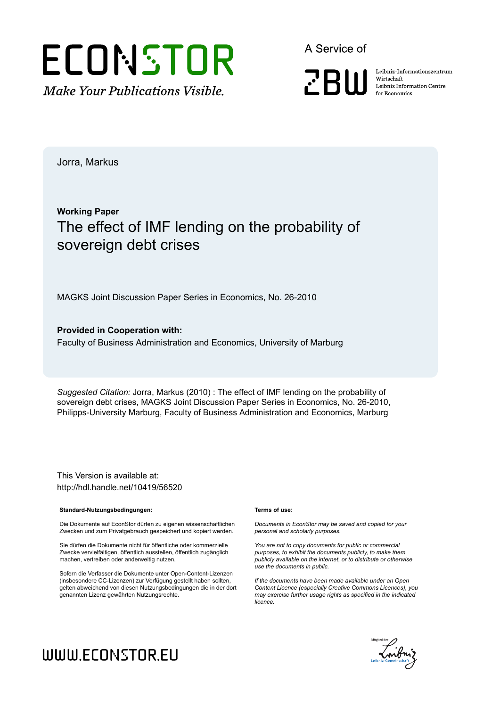

A Service of

**PRIII** 

Leibniz Informationszentrum Wirtschaft Leibniz Information Centre for Economics

Jorra, Markus

## **Working Paper** The effect of IMF lending on the probability of sovereign debt crises

MAGKS Joint Discussion Paper Series in Economics, No. 26-2010

**Provided in Cooperation with:** Faculty of Business Administration and Economics, University of Marburg

*Suggested Citation:* Jorra, Markus (2010) : The effect of IMF lending on the probability of sovereign debt crises, MAGKS Joint Discussion Paper Series in Economics, No. 26-2010, Philipps-University Marburg, Faculty of Business Administration and Economics, Marburg

This Version is available at: http://hdl.handle.net/10419/56520

#### **Standard-Nutzungsbedingungen:**

Die Dokumente auf EconStor dürfen zu eigenen wissenschaftlichen Zwecken und zum Privatgebrauch gespeichert und kopiert werden.

Sie dürfen die Dokumente nicht für öffentliche oder kommerzielle Zwecke vervielfältigen, öffentlich ausstellen, öffentlich zugänglich machen, vertreiben oder anderweitig nutzen.

Sofern die Verfasser die Dokumente unter Open-Content-Lizenzen (insbesondere CC-Lizenzen) zur Verfügung gestellt haben sollten, gelten abweichend von diesen Nutzungsbedingungen die in der dort genannten Lizenz gewährten Nutzungsrechte.

#### **Terms of use:**

*Documents in EconStor may be saved and copied for your personal and scholarly purposes.*

*You are not to copy documents for public or commercial purposes, to exhibit the documents publicly, to make them publicly available on the internet, or to distribute or otherwise use the documents in public.*

*If the documents have been made available under an Open Content Licence (especially Creative Commons Licences), you may exercise further usage rights as specified in the indicated licence.*



# WWW.ECONSTOR.EU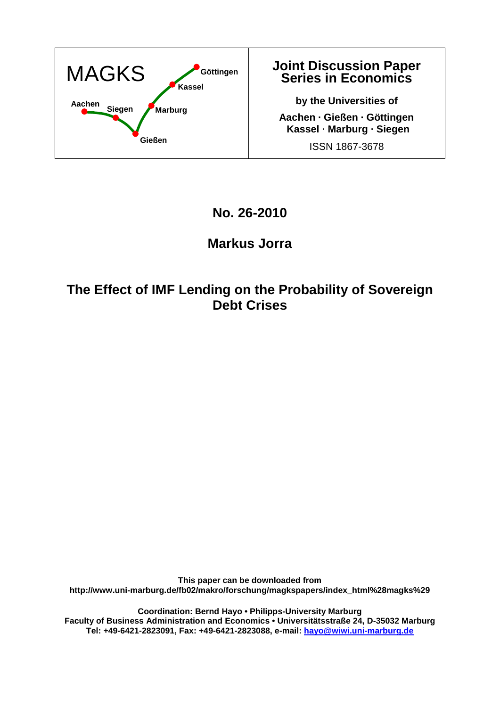

### **Joint Discussion Paper Series in Economics**

**by the Universities of Aachen · Gießen · Göttingen Kassel · Marburg · Siegen** ISSN 1867-3678

# **No. 26-2010**

# **Markus Jorra**

# **The Effect of IMF Lending on the Probability of Sovereign Debt Crises**

**This paper can be downloaded from http://www.uni-marburg.de/fb02/makro/forschung/magkspapers/index\_html%28magks%29**

**Coordination: Bernd Hayo • Philipps-University Marburg Faculty of Business Administration and Economics • Universitätsstraße 24, D-35032 Marburg Tel: +49-6421-2823091, Fax: +49-6421-2823088, e-mail: [hayo@wiwi.uni-marburg.de](mailto:hayo@wiwi.uni-marburg.de)**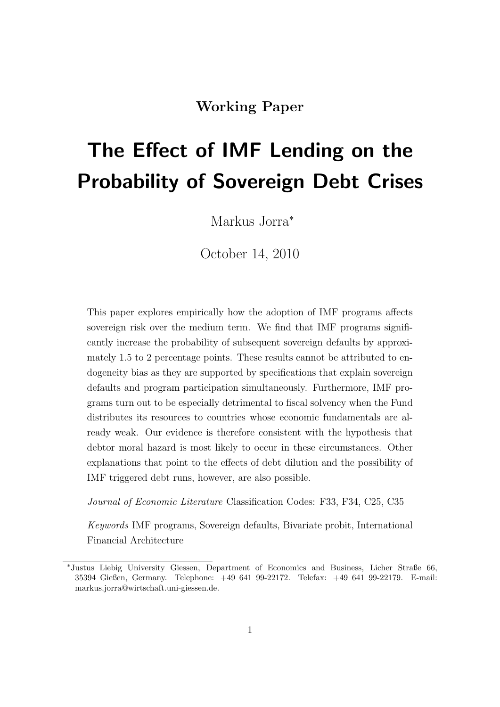### Working Paper

# The Effect of IMF Lending on the Probability of Sovereign Debt Crises

Markus Jorra<sup>∗</sup>

October 14, 2010

This paper explores empirically how the adoption of IMF programs affects sovereign risk over the medium term. We find that IMF programs significantly increase the probability of subsequent sovereign defaults by approximately 1.5 to 2 percentage points. These results cannot be attributed to endogeneity bias as they are supported by specifications that explain sovereign defaults and program participation simultaneously. Furthermore, IMF programs turn out to be especially detrimental to fiscal solvency when the Fund distributes its resources to countries whose economic fundamentals are already weak. Our evidence is therefore consistent with the hypothesis that debtor moral hazard is most likely to occur in these circumstances. Other explanations that point to the effects of debt dilution and the possibility of IMF triggered debt runs, however, are also possible.

Journal of Economic Literature Classification Codes: F33, F34, C25, C35

Keywords IMF programs, Sovereign defaults, Bivariate probit, International Financial Architecture

<sup>∗</sup>Justus Liebig University Giessen, Department of Economics and Business, Licher Straße 66, 35394 Gießen, Germany. Telephone: +49 641 99-22172. Telefax: +49 641 99-22179. E-mail: markus.jorra@wirtschaft.uni-giessen.de.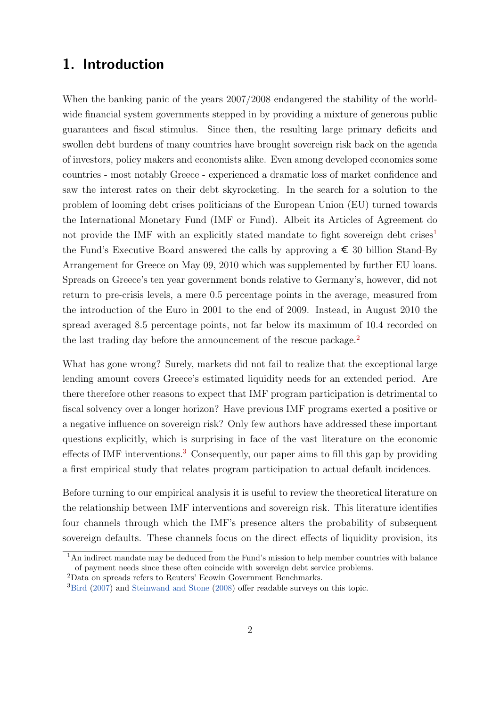### 1. Introduction

When the banking panic of the years 2007/2008 endangered the stability of the worldwide financial system governments stepped in by providing a mixture of generous public guarantees and fiscal stimulus. Since then, the resulting large primary deficits and swollen debt burdens of many countries have brought sovereign risk back on the agenda of investors, policy makers and economists alike. Even among developed economies some countries - most notably Greece - experienced a dramatic loss of market confidence and saw the interest rates on their debt skyrocketing. In the search for a solution to the problem of looming debt crises politicians of the European Union (EU) turned towards the International Monetary Fund (IMF or Fund). Albeit its Articles of Agreement do not provide the IMF with an explicitly stated mandate to fight sovereign debt crises<sup>[1](#page-3-0)</sup> the Fund's Executive Board answered the calls by approving  $a \in \mathcal{S}$  30 billion Stand-By Arrangement for Greece on May 09, 2010 which was supplemented by further EU loans. Spreads on Greece's ten year government bonds relative to Germany's, however, did not return to pre-crisis levels, a mere 0.5 percentage points in the average, measured from the introduction of the Euro in 2001 to the end of 2009. Instead, in August 2010 the spread averaged 8.5 percentage points, not far below its maximum of 10.4 recorded on the last trading day before the announcement of the rescue package.<sup>[2](#page-3-1)</sup>

What has gone wrong? Surely, markets did not fail to realize that the exceptional large lending amount covers Greece's estimated liquidity needs for an extended period. Are there therefore other reasons to expect that IMF program participation is detrimental to fiscal solvency over a longer horizon? Have previous IMF programs exerted a positive or a negative influence on sovereign risk? Only few authors have addressed these important questions explicitly, which is surprising in face of the vast literature on the economic effects of IMF interventions.[3](#page-3-2) Consequently, our paper aims to fill this gap by providing a first empirical study that relates program participation to actual default incidences.

Before turning to our empirical analysis it is useful to review the theoretical literature on the relationship between IMF interventions and sovereign risk. This literature identifies four channels through which the IMF's presence alters the probability of subsequent sovereign defaults. These channels focus on the direct effects of liquidity provision, its

<span id="page-3-0"></span><sup>&</sup>lt;sup>1</sup>An indirect mandate may be deduced from the Fund's mission to help member countries with balance of payment needs since these often coincide with sovereign debt service problems.

<span id="page-3-1"></span> $^2\rm{Data}$  on spreads refers to Reuters' Ecowin Government Benchmarks.

<span id="page-3-2"></span><sup>3</sup>[Bird](#page-21-0) [\(2007\)](#page-21-0) and [Steinwand and Stone](#page-24-0) [\(2008\)](#page-24-0) offer readable surveys on this topic.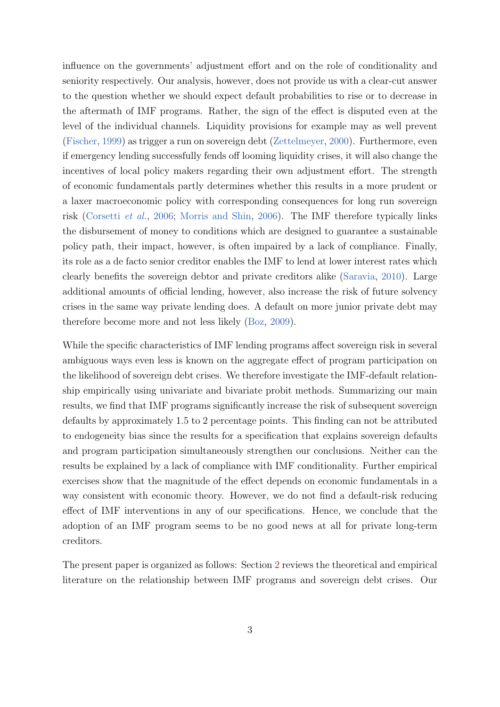influence on the governments' adjustment effort and on the role of conditionality and seniority respectively. Our analysis, however, does not provide us with a clear-cut answer to the question whether we should expect default probabilities to rise or to decrease in the aftermath of IMF programs. Rather, the sign of the effect is disputed even at the level of the individual channels. Liquidity provisions for example may as well prevent [\(Fischer,](#page-23-0) [1999\)](#page-23-0) as trigger a run on sovereign debt [\(Zettelmeyer,](#page-25-0) [2000\)](#page-25-0). Furthermore, even if emergency lending successfully fends off looming liquidity crises, it will also change the incentives of local policy makers regarding their own adjustment effort. The strength of economic fundamentals partly determines whether this results in a more prudent or a laxer macroeconomic policy with corresponding consequences for long run sovereign risk [\(Corsetti](#page-22-0) et al., [2006;](#page-22-0) [Morris and Shin,](#page-24-1) [2006\)](#page-24-1). The IMF therefore typically links the disbursement of money to conditions which are designed to guarantee a sustainable policy path, their impact, however, is often impaired by a lack of compliance. Finally, its role as a de facto senior creditor enables the IMF to lend at lower interest rates which clearly benefits the sovereign debtor and private creditors alike [\(Saravia,](#page-24-2) [2010\)](#page-24-2). Large additional amounts of official lending, however, also increase the risk of future solvency crises in the same way private lending does. A default on more junior private debt may therefore become more and not less likely [\(Boz,](#page-21-1) [2009\)](#page-21-1).

While the specific characteristics of IMF lending programs affect sovereign risk in several ambiguous ways even less is known on the aggregate effect of program participation on the likelihood of sovereign debt crises. We therefore investigate the IMF-default relationship empirically using univariate and bivariate probit methods. Summarizing our main results, we find that IMF programs significantly increase the risk of subsequent sovereign defaults by approximately 1.5 to 2 percentage points. This finding can not be attributed to endogeneity bias since the results for a specification that explains sovereign defaults and program participation simultaneously strengthen our conclusions. Neither can the results be explained by a lack of compliance with IMF conditionality. Further empirical exercises show that the magnitude of the effect depends on economic fundamentals in a way consistent with economic theory. However, we do not find a default-risk reducing effect of IMF interventions in any of our specifications. Hence, we conclude that the adoption of an IMF program seems to be no good news at all for private long-term creditors.

The present paper is organized as follows: Section [2](#page-5-0) reviews the theoretical and empirical literature on the relationship between IMF programs and sovereign debt crises. Our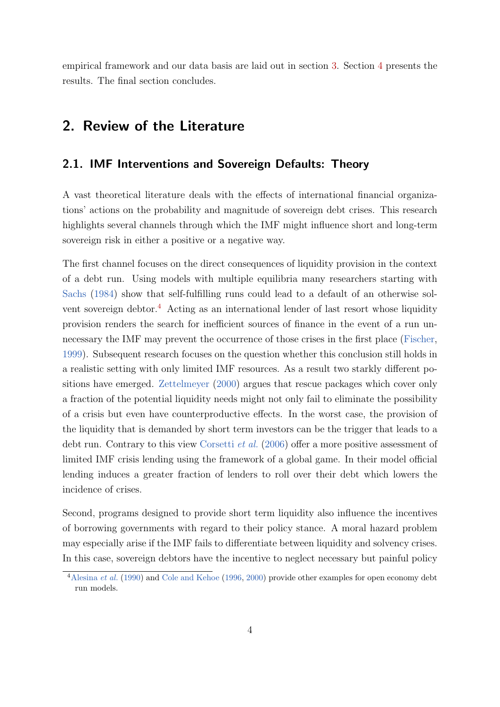empirical framework and our data basis are laid out in section [3.](#page-9-0) Section [4](#page-15-0) presents the results. The final section concludes.

### <span id="page-5-0"></span>2. Review of the Literature

### <span id="page-5-2"></span>2.1. IMF Interventions and Sovereign Defaults: Theory

A vast theoretical literature deals with the effects of international financial organizations' actions on the probability and magnitude of sovereign debt crises. This research highlights several channels through which the IMF might influence short and long-term sovereign risk in either a positive or a negative way.

The first channel focuses on the direct consequences of liquidity provision in the context of a debt run. Using models with multiple equilibria many researchers starting with [Sachs](#page-24-3) [\(1984\)](#page-24-3) show that self-fulfilling runs could lead to a default of an otherwise sol-vent sovereign debtor.<sup>[4](#page-5-1)</sup> Acting as an international lender of last resort whose liquidity provision renders the search for inefficient sources of finance in the event of a run un-necessary the IMF may prevent the occurrence of those crises in the first place [\(Fischer,](#page-23-0) [1999\)](#page-23-0). Subsequent research focuses on the question whether this conclusion still holds in a realistic setting with only limited IMF resources. As a result two starkly different positions have emerged. [Zettelmeyer](#page-25-0) [\(2000\)](#page-25-0) argues that rescue packages which cover only a fraction of the potential liquidity needs might not only fail to eliminate the possibility of a crisis but even have counterproductive effects. In the worst case, the provision of the liquidity that is demanded by short term investors can be the trigger that leads to a debt run. Contrary to this view [Corsetti](#page-22-0) et al. [\(2006\)](#page-22-0) offer a more positive assessment of limited IMF crisis lending using the framework of a global game. In their model official lending induces a greater fraction of lenders to roll over their debt which lowers the incidence of crises.

Second, programs designed to provide short term liquidity also influence the incentives of borrowing governments with regard to their policy stance. A moral hazard problem may especially arise if the IMF fails to differentiate between liquidity and solvency crises. In this case, sovereign debtors have the incentive to neglect necessary but painful policy

<span id="page-5-1"></span><sup>&</sup>lt;sup>4</sup> [Alesina](#page-21-2) *et al.* [\(1990\)](#page-21-2) and [Cole and Kehoe](#page-21-3) [\(1996,](#page-21-3) [2000\)](#page-21-4) provide other examples for open economy debt run models.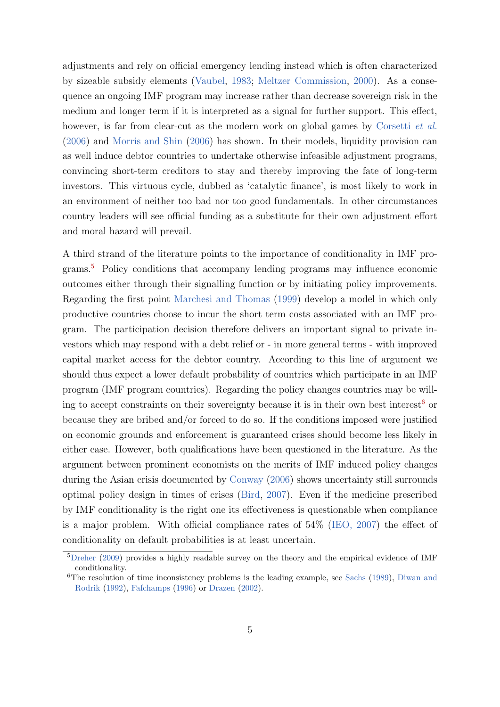adjustments and rely on official emergency lending instead which is often characterized by sizeable subsidy elements [\(Vaubel,](#page-25-1) [1983;](#page-25-1) [Meltzer Commission,](#page-24-4) [2000\)](#page-24-4). As a consequence an ongoing IMF program may increase rather than decrease sovereign risk in the medium and longer term if it is interpreted as a signal for further support. This effect, however, is far from clear-cut as the modern work on global games by [Corsetti](#page-22-0) *et al.* [\(2006\)](#page-22-0) and [Morris and Shin](#page-24-1) [\(2006\)](#page-24-1) has shown. In their models, liquidity provision can as well induce debtor countries to undertake otherwise infeasible adjustment programs, convincing short-term creditors to stay and thereby improving the fate of long-term investors. This virtuous cycle, dubbed as 'catalytic finance', is most likely to work in an environment of neither too bad nor too good fundamentals. In other circumstances country leaders will see official funding as a substitute for their own adjustment effort and moral hazard will prevail.

A third strand of the literature points to the importance of conditionality in IMF programs.[5](#page-6-0) Policy conditions that accompany lending programs may influence economic outcomes either through their signalling function or by initiating policy improvements. Regarding the first point [Marchesi and Thomas](#page-24-5) [\(1999\)](#page-24-5) develop a model in which only productive countries choose to incur the short term costs associated with an IMF program. The participation decision therefore delivers an important signal to private investors which may respond with a debt relief or - in more general terms - with improved capital market access for the debtor country. According to this line of argument we should thus expect a lower default probability of countries which participate in an IMF program (IMF program countries). Regarding the policy changes countries may be will-ing to accept constraints on their sovereignty because it is in their own best interest<sup>[6](#page-6-1)</sup> or because they are bribed and/or forced to do so. If the conditions imposed were justified on economic grounds and enforcement is guaranteed crises should become less likely in either case. However, both qualifications have been questioned in the literature. As the argument between prominent economists on the merits of IMF induced policy changes during the Asian crisis documented by [Conway](#page-21-5) [\(2006\)](#page-21-5) shows uncertainty still surrounds optimal policy design in times of crises [\(Bird,](#page-21-0) [2007\)](#page-21-0). Even if the medicine prescribed by IMF conditionality is the right one its effectiveness is questionable when compliance is a major problem. With official compliance rates of 54% [\(IEO, 2007\)](#page-23-1) the effect of conditionality on default probabilities is at least uncertain.

<span id="page-6-0"></span> $5$ [Dreher](#page-22-1) [\(2009\)](#page-22-1) provides a highly readable survey on the theory and the empirical evidence of IMF conditionality.

<span id="page-6-1"></span><sup>&</sup>lt;sup>6</sup>The resolution of time inconsistency problems is the leading example, see [Sachs](#page-24-6) [\(1989\)](#page-24-6), [Diwan and](#page-22-2) [Rodrik](#page-22-2) [\(1992\)](#page-22-2), [Fafchamps](#page-23-2) [\(1996\)](#page-23-2) or [Drazen](#page-22-3) [\(2002\)](#page-22-3).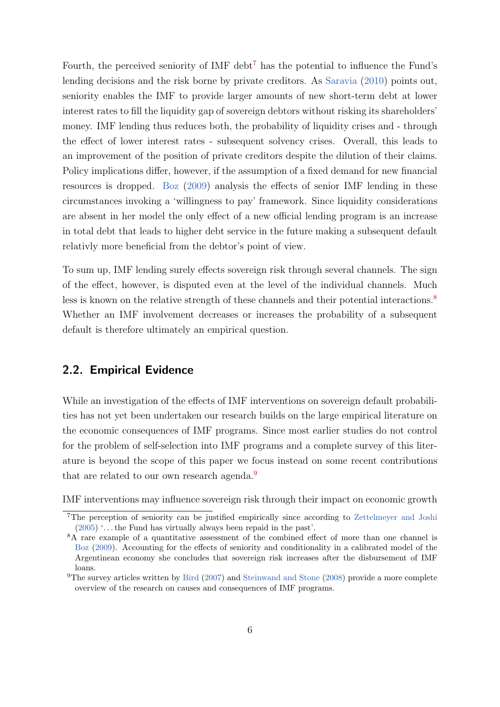Fourth, the perceived seniority of IMF debt<sup>[7](#page-7-0)</sup> has the potential to influence the Fund's lending decisions and the risk borne by private creditors. As [Saravia](#page-24-2) [\(2010\)](#page-24-2) points out, seniority enables the IMF to provide larger amounts of new short-term debt at lower interest rates to fill the liquidity gap of sovereign debtors without risking its shareholders' money. IMF lending thus reduces both, the probability of liquidity crises and - through the effect of lower interest rates - subsequent solvency crises. Overall, this leads to an improvement of the position of private creditors despite the dilution of their claims. Policy implications differ, however, if the assumption of a fixed demand for new financial resources is dropped. [Boz](#page-21-1) [\(2009\)](#page-21-1) analysis the effects of senior IMF lending in these circumstances invoking a 'willingness to pay' framework. Since liquidity considerations are absent in her model the only effect of a new official lending program is an increase in total debt that leads to higher debt service in the future making a subsequent default relativly more beneficial from the debtor's point of view.

To sum up, IMF lending surely effects sovereign risk through several channels. The sign of the effect, however, is disputed even at the level of the individual channels. Much less is known on the relative strength of these channels and their potential interactions.<sup>[8](#page-7-1)</sup> Whether an IMF involvement decreases or increases the probability of a subsequent default is therefore ultimately an empirical question.

#### 2.2. Empirical Evidence

While an investigation of the effects of IMF interventions on sovereign default probabilities has not yet been undertaken our research builds on the large empirical literature on the economic consequences of IMF programs. Since most earlier studies do not control for the problem of self-selection into IMF programs and a complete survey of this literature is beyond the scope of this paper we focus instead on some recent contributions that are related to our own research agenda.<sup>[9](#page-7-2)</sup>

IMF interventions may influence sovereign risk through their impact on economic growth

<span id="page-7-0"></span><sup>7</sup>The perception of seniority can be justified empirically since according to [Zettelmeyer and Joshi](#page-25-2)  $(2005)$  '... the Fund has virtually always been repaid in the past'.

<span id="page-7-1"></span><sup>&</sup>lt;sup>8</sup>A rare example of a quantitative assessment of the combined effect of more than one channel is [Boz](#page-21-1) [\(2009\)](#page-21-1). Accounting for the effects of seniority and conditionality in a calibrated model of the Argentinean economy she concludes that sovereign risk increases after the disbursement of IMF loans.

<span id="page-7-2"></span> $9$ The survey articles written by [Bird](#page-21-0) [\(2007\)](#page-21-0) and [Steinwand and Stone](#page-24-0) [\(2008\)](#page-24-0) provide a more complete overview of the research on causes and consequences of IMF programs.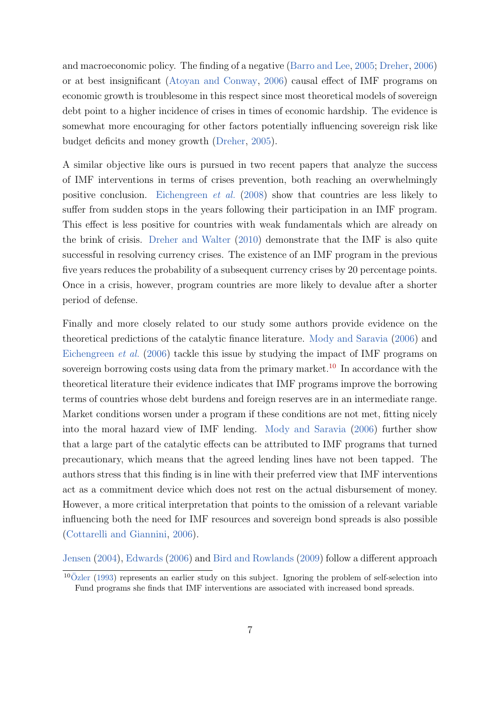and macroeconomic policy. The finding of a negative [\(Barro and Lee,](#page-21-6) [2005;](#page-21-6) [Dreher,](#page-22-4) [2006\)](#page-22-4) or at best insignificant [\(Atoyan and Conway,](#page-21-7) [2006\)](#page-21-7) causal effect of IMF programs on economic growth is troublesome in this respect since most theoretical models of sovereign debt point to a higher incidence of crises in times of economic hardship. The evidence is somewhat more encouraging for other factors potentially influencing sovereign risk like budget deficits and money growth [\(Dreher,](#page-22-5) [2005\)](#page-22-5).

A similar objective like ours is pursued in two recent papers that analyze the success of IMF interventions in terms of crises prevention, both reaching an overwhelmingly positive conclusion. [Eichengreen](#page-23-3) et al. [\(2008\)](#page-23-3) show that countries are less likely to suffer from sudden stops in the years following their participation in an IMF program. This effect is less positive for countries with weak fundamentals which are already on the brink of crisis. [Dreher and Walter](#page-22-6) [\(2010\)](#page-22-6) demonstrate that the IMF is also quite successful in resolving currency crises. The existence of an IMF program in the previous five years reduces the probability of a subsequent currency crises by 20 percentage points. Once in a crisis, however, program countries are more likely to devalue after a shorter period of defense.

Finally and more closely related to our study some authors provide evidence on the theoretical predictions of the catalytic finance literature. [Mody and Saravia](#page-24-7) [\(2006\)](#page-24-7) and [Eichengreen](#page-23-4) et al. [\(2006\)](#page-23-4) tackle this issue by studying the impact of IMF programs on sovereign borrowing costs using data from the primary market.<sup>[10](#page-8-0)</sup> In accordance with the theoretical literature their evidence indicates that IMF programs improve the borrowing terms of countries whose debt burdens and foreign reserves are in an intermediate range. Market conditions worsen under a program if these conditions are not met, fitting nicely into the moral hazard view of IMF lending. [Mody and Saravia](#page-24-7) [\(2006\)](#page-24-7) further show that a large part of the catalytic effects can be attributed to IMF programs that turned precautionary, which means that the agreed lending lines have not been tapped. The authors stress that this finding is in line with their preferred view that IMF interventions act as a commitment device which does not rest on the actual disbursement of money. However, a more critical interpretation that points to the omission of a relevant variable influencing both the need for IMF resources and sovereign bond spreads is also possible [\(Cottarelli and Giannini,](#page-22-7) [2006\)](#page-22-7).

[Jensen](#page-23-5) [\(2004\)](#page-23-5), [Edwards](#page-22-8) [\(2006\)](#page-22-8) and [Bird and Rowlands](#page-21-8) [\(2009\)](#page-21-8) follow a different approach

<span id="page-8-0"></span> $10\ddot{\rm{O}}$ zler [\(1993\)](#page-24-8) represents an earlier study on this subject. Ignoring the problem of self-selection into Fund programs she finds that IMF interventions are associated with increased bond spreads.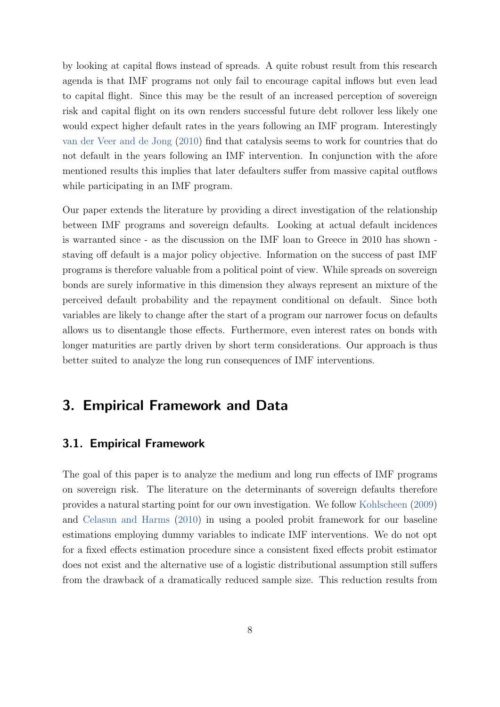by looking at capital flows instead of spreads. A quite robust result from this research agenda is that IMF programs not only fail to encourage capital inflows but even lead to capital flight. Since this may be the result of an increased perception of sovereign risk and capital flight on its own renders successful future debt rollover less likely one would expect higher default rates in the years following an IMF program. Interestingly [van der Veer and de Jong](#page-24-9) [\(2010\)](#page-24-9) find that catalysis seems to work for countries that do not default in the years following an IMF intervention. In conjunction with the afore mentioned results this implies that later defaulters suffer from massive capital outflows while participating in an IMF program.

Our paper extends the literature by providing a direct investigation of the relationship between IMF programs and sovereign defaults. Looking at actual default incidences is warranted since - as the discussion on the IMF loan to Greece in 2010 has shown staving off default is a major policy objective. Information on the success of past IMF programs is therefore valuable from a political point of view. While spreads on sovereign bonds are surely informative in this dimension they always represent an mixture of the perceived default probability and the repayment conditional on default. Since both variables are likely to change after the start of a program our narrower focus on defaults allows us to disentangle those effects. Furthermore, even interest rates on bonds with longer maturities are partly driven by short term considerations. Our approach is thus better suited to analyze the long run consequences of IMF interventions.

### <span id="page-9-0"></span>3. Empirical Framework and Data

#### 3.1. Empirical Framework

The goal of this paper is to analyze the medium and long run effects of IMF programs on sovereign risk. The literature on the determinants of sovereign defaults therefore provides a natural starting point for our own investigation. We follow [Kohlscheen](#page-23-6) [\(2009\)](#page-23-6) and [Celasun and Harms](#page-21-9) [\(2010\)](#page-21-9) in using a pooled probit framework for our baseline estimations employing dummy variables to indicate IMF interventions. We do not opt for a fixed effects estimation procedure since a consistent fixed effects probit estimator does not exist and the alternative use of a logistic distributional assumption still suffers from the drawback of a dramatically reduced sample size. This reduction results from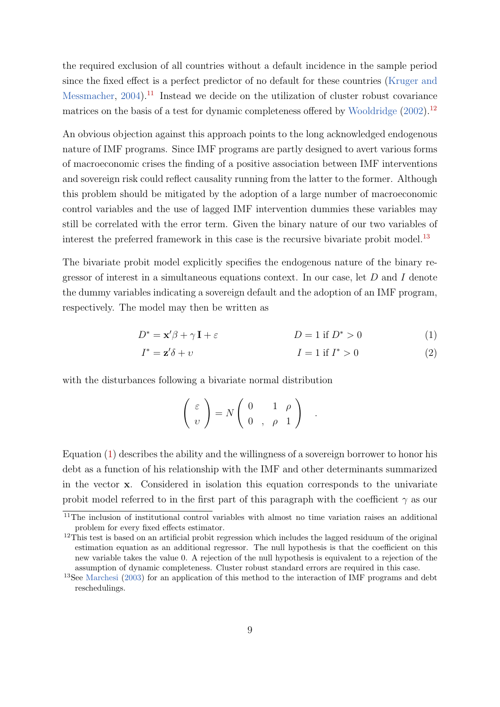the required exclusion of all countries without a default incidence in the sample period since the fixed effect is a perfect predictor of no default for these countries [\(Kruger and](#page-23-7) [Messmacher,](#page-23-7)  $2004$ .<sup>[11](#page-10-0)</sup> Instead we decide on the utilization of cluster robust covariance matrices on the basis of a test for dynamic completeness offered by [Wooldridge](#page-25-3)  $(2002)$ .<sup>[12](#page-10-1)</sup>

An obvious objection against this approach points to the long acknowledged endogenous nature of IMF programs. Since IMF programs are partly designed to avert various forms of macroeconomic crises the finding of a positive association between IMF interventions and sovereign risk could reflect causality running from the latter to the former. Although this problem should be mitigated by the adoption of a large number of macroeconomic control variables and the use of lagged IMF intervention dummies these variables may still be correlated with the error term. Given the binary nature of our two variables of interest the preferred framework in this case is the recursive bivariate probit model.<sup>[13](#page-10-2)</sup>

The bivariate probit model explicitly specifies the endogenous nature of the binary regressor of interest in a simultaneous equations context. In our case, let  $D$  and  $I$  denote the dummy variables indicating a sovereign default and the adoption of an IMF program, respectively. The model may then be written as

$$
D^* = \mathbf{x}'\beta + \gamma \mathbf{I} + \varepsilon \qquad D = 1 \text{ if } D^* > 0 \tag{1}
$$

$$
I^* = \mathbf{z}'\delta + \upsilon \qquad \qquad I = 1 \text{ if } I^* > 0 \tag{2}
$$

<span id="page-10-4"></span><span id="page-10-3"></span>.

with the disturbances following a bivariate normal distribution

$$
\left(\begin{array}{c}\varepsilon\\v\end{array}\right)=N\left(\begin{array}{ccc}0&1&\rho\\0&,&\rho&1\end{array}\right)
$$

Equation [\(1\)](#page-10-3) describes the ability and the willingness of a sovereign borrower to honor his debt as a function of his relationship with the IMF and other determinants summarized in the vector x. Considered in isolation this equation corresponds to the univariate probit model referred to in the first part of this paragraph with the coefficient  $\gamma$  as our

<span id="page-10-0"></span><sup>&</sup>lt;sup>11</sup>The inclusion of institutional control variables with almost no time variation raises an additional problem for every fixed effects estimator.

<span id="page-10-1"></span> $12$ This test is based on an artificial probit regression which includes the lagged residuum of the original estimation equation as an additional regressor. The null hypothesis is that the coefficient on this new variable takes the value 0. A rejection of the null hypothesis is equivalent to a rejection of the assumption of dynamic completeness. Cluster robust standard errors are required in this case.

<span id="page-10-2"></span><sup>&</sup>lt;sup>13</sup>See [Marchesi](#page-23-8) [\(2003\)](#page-23-8) for an application of this method to the interaction of IMF programs and debt reschedulings.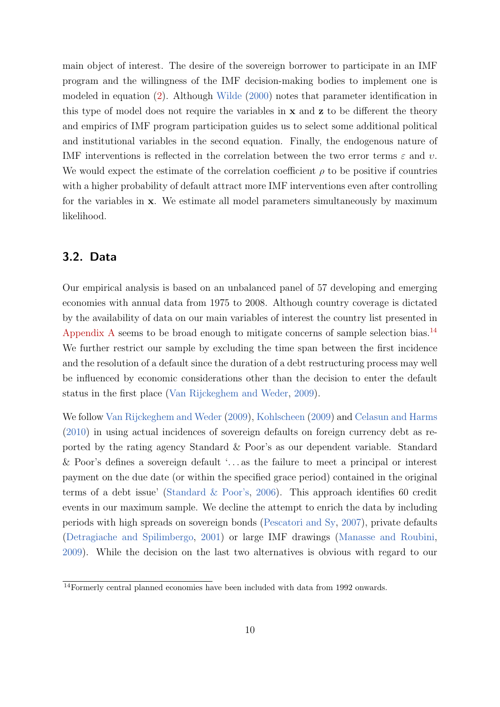main object of interest. The desire of the sovereign borrower to participate in an IMF program and the willingness of the IMF decision-making bodies to implement one is modeled in equation [\(2\)](#page-10-4). Although [Wilde](#page-25-4) [\(2000\)](#page-25-4) notes that parameter identification in this type of model does not require the variables in  $x$  and  $z$  to be different the theory and empirics of IMF program participation guides us to select some additional political and institutional variables in the second equation. Finally, the endogenous nature of IMF interventions is reflected in the correlation between the two error terms  $\varepsilon$  and  $v$ . We would expect the estimate of the correlation coefficient  $\rho$  to be positive if countries with a higher probability of default attract more IMF interventions even after controlling for the variables in x. We estimate all model parameters simultaneously by maximum likelihood.

#### 3.2. Data

Our empirical analysis is based on an unbalanced panel of 57 developing and emerging economies with annual data from 1975 to 2008. Although country coverage is dictated by the availability of data on our main variables of interest the country list presented in [Appendix A](#page-31-0) seems to be broad enough to mitigate concerns of sample selection bias.<sup>[14](#page-11-0)</sup> We further restrict our sample by excluding the time span between the first incidence and the resolution of a default since the duration of a debt restructuring process may well be influenced by economic considerations other than the decision to enter the default status in the first place [\(Van Rijckeghem and Weder,](#page-25-5) [2009\)](#page-25-5).

We follow [Van Rijckeghem and Weder](#page-25-5) [\(2009\)](#page-25-5), [Kohlscheen](#page-23-6) [\(2009\)](#page-23-6) and [Celasun and Harms](#page-21-9) [\(2010\)](#page-21-9) in using actual incidences of sovereign defaults on foreign currency debt as reported by the rating agency Standard & Poor's as our dependent variable. Standard & Poor's defines a sovereign default '. . . as the failure to meet a principal or interest payment on the due date (or within the specified grace period) contained in the original terms of a debt issue' [\(Standard & Poor's,](#page-24-10) [2006\)](#page-24-10). This approach identifies 60 credit events in our maximum sample. We decline the attempt to enrich the data by including periods with high spreads on sovereign bonds [\(Pescatori and Sy,](#page-24-11) [2007\)](#page-24-11), private defaults [\(Detragiache and Spilimbergo,](#page-22-9) [2001\)](#page-22-9) or large IMF drawings [\(Manasse and Roubini,](#page-23-9) [2009\)](#page-23-9). While the decision on the last two alternatives is obvious with regard to our

<span id="page-11-0"></span><sup>&</sup>lt;sup>14</sup>Formerly central planned economies have been included with data from 1992 onwards.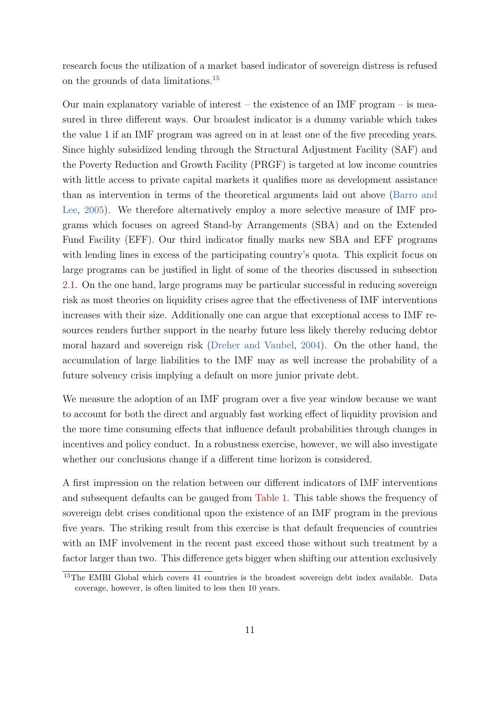research focus the utilization of a market based indicator of sovereign distress is refused on the grounds of data limitations.[15](#page-12-0)

Our main explanatory variable of interest – the existence of an IMF program – is measured in three different ways. Our broadest indicator is a dummy variable which takes the value 1 if an IMF program was agreed on in at least one of the five preceding years. Since highly subsidized lending through the Structural Adjustment Facility (SAF) and the Poverty Reduction and Growth Facility (PRGF) is targeted at low income countries with little access to private capital markets it qualifies more as development assistance than as intervention in terms of the theoretical arguments laid out above [\(Barro and](#page-21-6) [Lee,](#page-21-6) [2005\)](#page-21-6). We therefore alternatively employ a more selective measure of IMF programs which focuses on agreed Stand-by Arrangements (SBA) and on the Extended Fund Facility (EFF). Our third indicator finally marks new SBA and EFF programs with lending lines in excess of the participating country's quota. This explicit focus on large programs can be justified in light of some of the theories discussed in subsection [2.1.](#page-5-2) On the one hand, large programs may be particular successful in reducing sovereign risk as most theories on liquidity crises agree that the effectiveness of IMF interventions increases with their size. Additionally one can argue that exceptional access to IMF resources renders further support in the nearby future less likely thereby reducing debtor moral hazard and sovereign risk [\(Dreher and Vaubel,](#page-22-10) [2004\)](#page-22-10). On the other hand, the accumulation of large liabilities to the IMF may as well increase the probability of a future solvency crisis implying a default on more junior private debt.

We measure the adoption of an IMF program over a five year window because we want to account for both the direct and arguably fast working effect of liquidity provision and the more time consuming effects that influence default probabilities through changes in incentives and policy conduct. In a robustness exercise, however, we will also investigate whether our conclusions change if a different time horizon is considered.

A first impression on the relation between our different indicators of IMF interventions and subsequent defaults can be gauged from [Table 1.](#page-26-0) This table shows the frequency of sovereign debt crises conditional upon the existence of an IMF program in the previous five years. The striking result from this exercise is that default frequencies of countries with an IMF involvement in the recent past exceed those without such treatment by a factor larger than two. This difference gets bigger when shifting our attention exclusively

<span id="page-12-0"></span><sup>&</sup>lt;sup>15</sup>The EMBI Global which covers 41 countries is the broadest sovereign debt index available. Data coverage, however, is often limited to less then 10 years.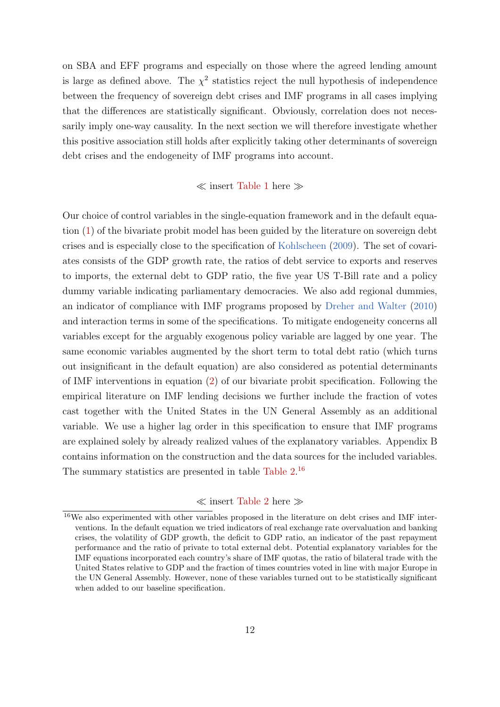on SBA and EFF programs and especially on those where the agreed lending amount is large as defined above. The  $\chi^2$  statistics reject the null hypothesis of independence between the frequency of sovereign debt crises and IMF programs in all cases implying that the differences are statistically significant. Obviously, correlation does not necessarily imply one-way causality. In the next section we will therefore investigate whether this positive association still holds after explicitly taking other determinants of sovereign debt crises and the endogeneity of IMF programs into account.

#### $\ll$  insert [Table 1](#page-26-0) here  $\gg$

Our choice of control variables in the single-equation framework and in the default equation [\(1\)](#page-10-3) of the bivariate probit model has been guided by the literature on sovereign debt crises and is especially close to the specification of [Kohlscheen](#page-23-6) [\(2009\)](#page-23-6). The set of covariates consists of the GDP growth rate, the ratios of debt service to exports and reserves to imports, the external debt to GDP ratio, the five year US T-Bill rate and a policy dummy variable indicating parliamentary democracies. We also add regional dummies, an indicator of compliance with IMF programs proposed by [Dreher and Walter](#page-22-6) [\(2010\)](#page-22-6) and interaction terms in some of the specifications. To mitigate endogeneity concerns all variables except for the arguably exogenous policy variable are lagged by one year. The same economic variables augmented by the short term to total debt ratio (which turns out insignificant in the default equation) are also considered as potential determinants of IMF interventions in equation [\(2\)](#page-10-4) of our bivariate probit specification. Following the empirical literature on IMF lending decisions we further include the fraction of votes cast together with the United States in the UN General Assembly as an additional variable. We use a higher lag order in this specification to ensure that IMF programs are explained solely by already realized values of the explanatory variables. Appendix B contains information on the construction and the data sources for the included variables. The summary statistics are presented in table [Table 2.](#page-26-1)<sup>[16](#page-13-0)</sup>

#### $\ll$  insert [Table 2](#page-26-1) here  $\gg$

<span id="page-13-0"></span><sup>&</sup>lt;sup>16</sup>We also experimented with other variables proposed in the literature on debt crises and IMF interventions. In the default equation we tried indicators of real exchange rate overvaluation and banking crises, the volatility of GDP growth, the deficit to GDP ratio, an indicator of the past repayment performance and the ratio of private to total external debt. Potential explanatory variables for the IMF equations incorporated each country's share of IMF quotas, the ratio of bilateral trade with the United States relative to GDP and the fraction of times countries voted in line with major Europe in the UN General Assembly. However, none of these variables turned out to be statistically significant when added to our baseline specification.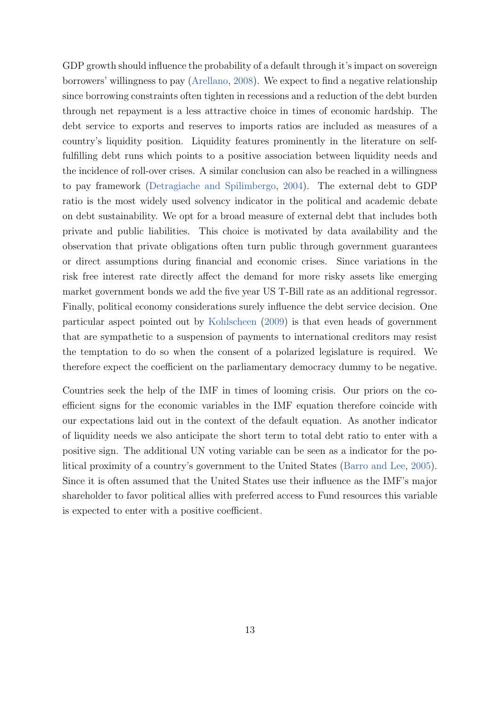GDP growth should influence the probability of a default through it's impact on sovereign borrowers' willingness to pay [\(Arellano,](#page-21-10) [2008\)](#page-21-10). We expect to find a negative relationship since borrowing constraints often tighten in recessions and a reduction of the debt burden through net repayment is a less attractive choice in times of economic hardship. The debt service to exports and reserves to imports ratios are included as measures of a country's liquidity position. Liquidity features prominently in the literature on selffulfilling debt runs which points to a positive association between liquidity needs and the incidence of roll-over crises. A similar conclusion can also be reached in a willingness to pay framework [\(Detragiache and Spilimbergo,](#page-22-11) [2004\)](#page-22-11). The external debt to GDP ratio is the most widely used solvency indicator in the political and academic debate on debt sustainability. We opt for a broad measure of external debt that includes both private and public liabilities. This choice is motivated by data availability and the observation that private obligations often turn public through government guarantees or direct assumptions during financial and economic crises. Since variations in the risk free interest rate directly affect the demand for more risky assets like emerging market government bonds we add the five year US T-Bill rate as an additional regressor. Finally, political economy considerations surely influence the debt service decision. One particular aspect pointed out by [Kohlscheen](#page-23-6) [\(2009\)](#page-23-6) is that even heads of government that are sympathetic to a suspension of payments to international creditors may resist the temptation to do so when the consent of a polarized legislature is required. We therefore expect the coefficient on the parliamentary democracy dummy to be negative.

Countries seek the help of the IMF in times of looming crisis. Our priors on the coefficient signs for the economic variables in the IMF equation therefore coincide with our expectations laid out in the context of the default equation. As another indicator of liquidity needs we also anticipate the short term to total debt ratio to enter with a positive sign. The additional UN voting variable can be seen as a indicator for the political proximity of a country's government to the United States [\(Barro and Lee,](#page-21-6) [2005\)](#page-21-6). Since it is often assumed that the United States use their influence as the IMF's major shareholder to favor political allies with preferred access to Fund resources this variable is expected to enter with a positive coefficient.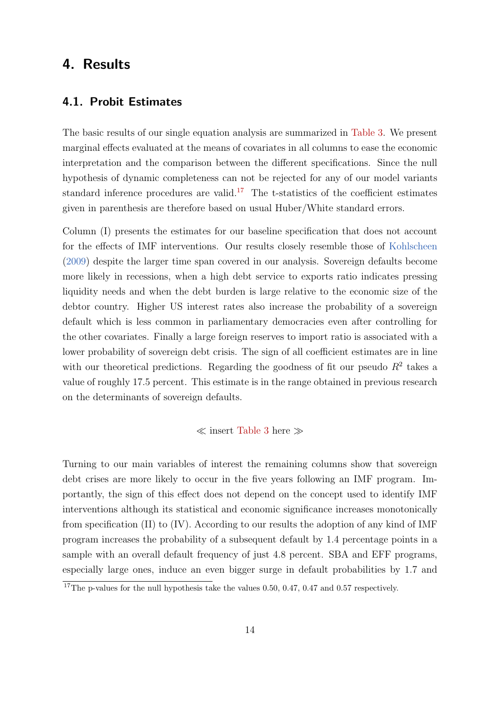### <span id="page-15-0"></span>4. Results

#### <span id="page-15-2"></span>4.1. Probit Estimates

The basic results of our single equation analysis are summarized in [Table 3.](#page-27-0) We present marginal effects evaluated at the means of covariates in all columns to ease the economic interpretation and the comparison between the different specifications. Since the null hypothesis of dynamic completeness can not be rejected for any of our model variants standard inference procedures are valid.<sup>[17](#page-15-1)</sup> The t-statistics of the coefficient estimates given in parenthesis are therefore based on usual Huber/White standard errors.

Column (I) presents the estimates for our baseline specification that does not account for the effects of IMF interventions. Our results closely resemble those of [Kohlscheen](#page-23-6) [\(2009\)](#page-23-6) despite the larger time span covered in our analysis. Sovereign defaults become more likely in recessions, when a high debt service to exports ratio indicates pressing liquidity needs and when the debt burden is large relative to the economic size of the debtor country. Higher US interest rates also increase the probability of a sovereign default which is less common in parliamentary democracies even after controlling for the other covariates. Finally a large foreign reserves to import ratio is associated with a lower probability of sovereign debt crisis. The sign of all coefficient estimates are in line with our theoretical predictions. Regarding the goodness of fit our pseudo  $R^2$  takes a value of roughly 17.5 percent. This estimate is in the range obtained in previous research on the determinants of sovereign defaults.

#### $\ll$  insert [Table 3](#page-27-0) here  $\gg$

Turning to our main variables of interest the remaining columns show that sovereign debt crises are more likely to occur in the five years following an IMF program. Importantly, the sign of this effect does not depend on the concept used to identify IMF interventions although its statistical and economic significance increases monotonically from specification (II) to (IV). According to our results the adoption of any kind of IMF program increases the probability of a subsequent default by 1.4 percentage points in a sample with an overall default frequency of just 4.8 percent. SBA and EFF programs, especially large ones, induce an even bigger surge in default probabilities by 1.7 and

<span id="page-15-1"></span><sup>&</sup>lt;sup>17</sup>The p-values for the null hypothesis take the values 0.50, 0.47, 0.47 and 0.57 respectively.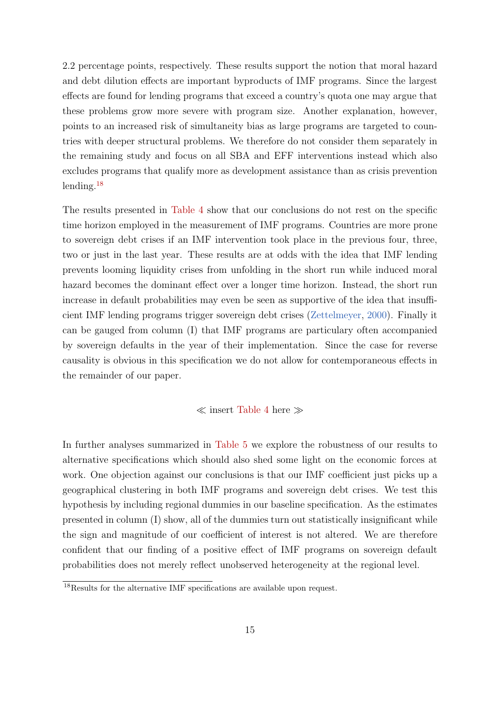2.2 percentage points, respectively. These results support the notion that moral hazard and debt dilution effects are important byproducts of IMF programs. Since the largest effects are found for lending programs that exceed a country's quota one may argue that these problems grow more severe with program size. Another explanation, however, points to an increased risk of simultaneity bias as large programs are targeted to countries with deeper structural problems. We therefore do not consider them separately in the remaining study and focus on all SBA and EFF interventions instead which also excludes programs that qualify more as development assistance than as crisis prevention lending.[18](#page-16-0)

The results presented in [Table 4](#page-28-0) show that our conclusions do not rest on the specific time horizon employed in the measurement of IMF programs. Countries are more prone to sovereign debt crises if an IMF intervention took place in the previous four, three, two or just in the last year. These results are at odds with the idea that IMF lending prevents looming liquidity crises from unfolding in the short run while induced moral hazard becomes the dominant effect over a longer time horizon. Instead, the short run increase in default probabilities may even be seen as supportive of the idea that insufficient IMF lending programs trigger sovereign debt crises [\(Zettelmeyer,](#page-25-0) [2000\)](#page-25-0). Finally it can be gauged from column (I) that IMF programs are particulary often accompanied by sovereign defaults in the year of their implementation. Since the case for reverse causality is obvious in this specification we do not allow for contemporaneous effects in the remainder of our paper.

#### $\ll$  insert [Table 4](#page-28-0) here  $\gg$

In further analyses summarized in [Table 5](#page-29-0) we explore the robustness of our results to alternative specifications which should also shed some light on the economic forces at work. One objection against our conclusions is that our IMF coefficient just picks up a geographical clustering in both IMF programs and sovereign debt crises. We test this hypothesis by including regional dummies in our baseline specification. As the estimates presented in column (I) show, all of the dummies turn out statistically insignificant while the sign and magnitude of our coefficient of interest is not altered. We are therefore confident that our finding of a positive effect of IMF programs on sovereign default probabilities does not merely reflect unobserved heterogeneity at the regional level.

<span id="page-16-0"></span><sup>&</sup>lt;sup>18</sup>Results for the alternative IMF specifications are available upon request.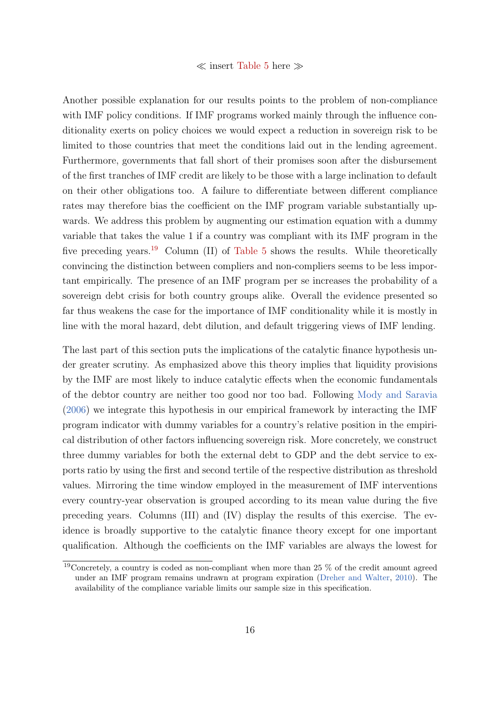#### $\ll$  insert [Table 5](#page-29-0) here  $\gg$

Another possible explanation for our results points to the problem of non-compliance with IMF policy conditions. If IMF programs worked mainly through the influence conditionality exerts on policy choices we would expect a reduction in sovereign risk to be limited to those countries that meet the conditions laid out in the lending agreement. Furthermore, governments that fall short of their promises soon after the disbursement of the first tranches of IMF credit are likely to be those with a large inclination to default on their other obligations too. A failure to differentiate between different compliance rates may therefore bias the coefficient on the IMF program variable substantially upwards. We address this problem by augmenting our estimation equation with a dummy variable that takes the value 1 if a country was compliant with its IMF program in the five preceding years.<sup>[19](#page-17-0)</sup> Column (II) of [Table 5](#page-29-0) shows the results. While theoretically convincing the distinction between compliers and non-compliers seems to be less important empirically. The presence of an IMF program per se increases the probability of a sovereign debt crisis for both country groups alike. Overall the evidence presented so far thus weakens the case for the importance of IMF conditionality while it is mostly in line with the moral hazard, debt dilution, and default triggering views of IMF lending.

The last part of this section puts the implications of the catalytic finance hypothesis under greater scrutiny. As emphasized above this theory implies that liquidity provisions by the IMF are most likely to induce catalytic effects when the economic fundamentals of the debtor country are neither too good nor too bad. Following [Mody and Saravia](#page-24-7) [\(2006\)](#page-24-7) we integrate this hypothesis in our empirical framework by interacting the IMF program indicator with dummy variables for a country's relative position in the empirical distribution of other factors influencing sovereign risk. More concretely, we construct three dummy variables for both the external debt to GDP and the debt service to exports ratio by using the first and second tertile of the respective distribution as threshold values. Mirroring the time window employed in the measurement of IMF interventions every country-year observation is grouped according to its mean value during the five preceding years. Columns (III) and (IV) display the results of this exercise. The evidence is broadly supportive to the catalytic finance theory except for one important qualification. Although the coefficients on the IMF variables are always the lowest for

<span id="page-17-0"></span><sup>19</sup>Concretely, a country is coded as non-compliant when more than 25 % of the credit amount agreed under an IMF program remains undrawn at program expiration [\(Dreher and Walter,](#page-22-6) [2010\)](#page-22-6). The availability of the compliance variable limits our sample size in this specification.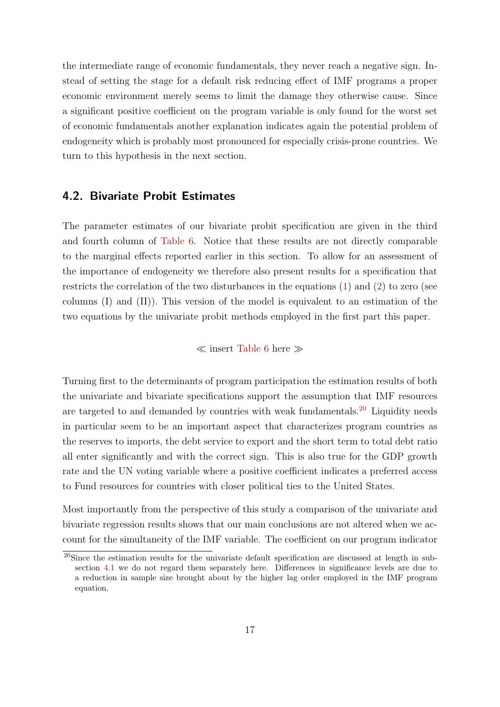the intermediate range of economic fundamentals, they never reach a negative sign. Instead of setting the stage for a default risk reducing effect of IMF programs a proper economic environment merely seems to limit the damage they otherwise cause. Since a significant positive coefficient on the program variable is only found for the worst set of economic fundamentals another explanation indicates again the potential problem of endogeneity which is probably most pronounced for especially crisis-prone countries. We turn to this hypothesis in the next section.

### 4.2. Bivariate Probit Estimates

The parameter estimates of our bivariate probit specification are given in the third and fourth column of [Table 6.](#page-30-0) Notice that these results are not directly comparable to the marginal effects reported earlier in this section. To allow for an assessment of the importance of endogeneity we therefore also present results for a specification that restricts the correlation of the two disturbances in the equations [\(1\)](#page-10-3) and [\(2\)](#page-10-4) to zero (see columns (I) and (II)). This version of the model is equivalent to an estimation of the two equations by the univariate probit methods employed in the first part this paper.

#### $\ll$  insert [Table 6](#page-30-0) here  $\gg$

Turning first to the determinants of program participation the estimation results of both the univariate and bivariate specifications support the assumption that IMF resources are targeted to and demanded by countries with weak fundamentals.<sup>[20](#page-18-0)</sup> Liquidity needs in particular seem to be an important aspect that characterizes program countries as the reserves to imports, the debt service to export and the short term to total debt ratio all enter significantly and with the correct sign. This is also true for the GDP growth rate and the UN voting variable where a positive coefficient indicates a preferred access to Fund resources for countries with closer political ties to the United States.

Most importantly from the perspective of this study a comparison of the univariate and bivariate regression results shows that our main conclusions are not altered when we account for the simultaneity of the IMF variable. The coefficient on our program indicator

<span id="page-18-0"></span><sup>20</sup>Since the estimation results for the univariate default specification are discussed at length in sub-section [4.1](#page-15-2) we do not regard them separately here. Differences in significance levels are due to a reduction in sample size brought about by the higher lag order employed in the IMF program equation.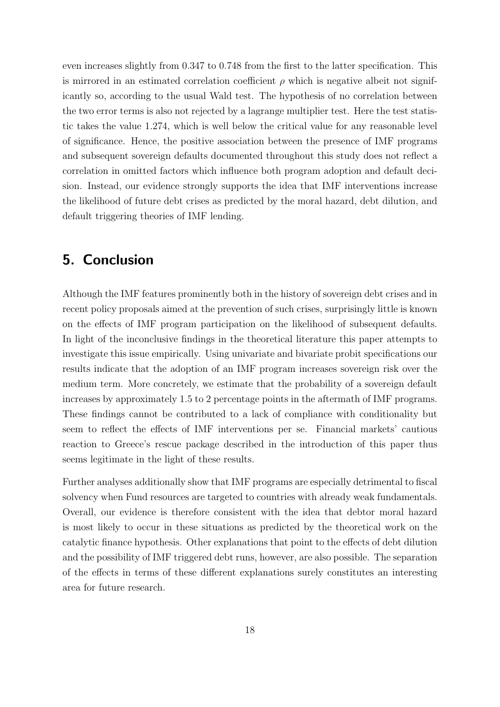even increases slightly from 0.347 to 0.748 from the first to the latter specification. This is mirrored in an estimated correlation coefficient  $\rho$  which is negative albeit not significantly so, according to the usual Wald test. The hypothesis of no correlation between the two error terms is also not rejected by a lagrange multiplier test. Here the test statistic takes the value 1.274, which is well below the critical value for any reasonable level of significance. Hence, the positive association between the presence of IMF programs and subsequent sovereign defaults documented throughout this study does not reflect a correlation in omitted factors which influence both program adoption and default decision. Instead, our evidence strongly supports the idea that IMF interventions increase the likelihood of future debt crises as predicted by the moral hazard, debt dilution, and default triggering theories of IMF lending.

### 5. Conclusion

Although the IMF features prominently both in the history of sovereign debt crises and in recent policy proposals aimed at the prevention of such crises, surprisingly little is known on the effects of IMF program participation on the likelihood of subsequent defaults. In light of the inconclusive findings in the theoretical literature this paper attempts to investigate this issue empirically. Using univariate and bivariate probit specifications our results indicate that the adoption of an IMF program increases sovereign risk over the medium term. More concretely, we estimate that the probability of a sovereign default increases by approximately 1.5 to 2 percentage points in the aftermath of IMF programs. These findings cannot be contributed to a lack of compliance with conditionality but seem to reflect the effects of IMF interventions per se. Financial markets' cautious reaction to Greece's rescue package described in the introduction of this paper thus seems legitimate in the light of these results.

Further analyses additionally show that IMF programs are especially detrimental to fiscal solvency when Fund resources are targeted to countries with already weak fundamentals. Overall, our evidence is therefore consistent with the idea that debtor moral hazard is most likely to occur in these situations as predicted by the theoretical work on the catalytic finance hypothesis. Other explanations that point to the effects of debt dilution and the possibility of IMF triggered debt runs, however, are also possible. The separation of the effects in terms of these different explanations surely constitutes an interesting area for future research.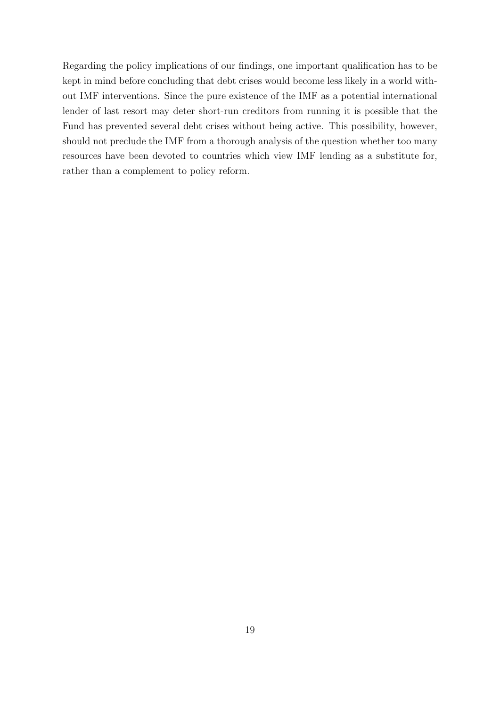Regarding the policy implications of our findings, one important qualification has to be kept in mind before concluding that debt crises would become less likely in a world without IMF interventions. Since the pure existence of the IMF as a potential international lender of last resort may deter short-run creditors from running it is possible that the Fund has prevented several debt crises without being active. This possibility, however, should not preclude the IMF from a thorough analysis of the question whether too many resources have been devoted to countries which view IMF lending as a substitute for, rather than a complement to policy reform.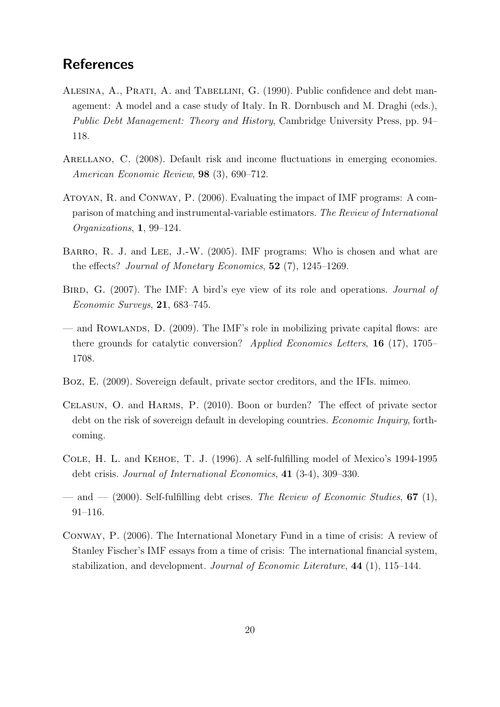### **References**

- <span id="page-21-2"></span>ALESINA, A., PRATI, A. and TABELLINI, G. (1990). Public confidence and debt management: A model and a case study of Italy. In R. Dornbusch and M. Draghi (eds.), Public Debt Management: Theory and History, Cambridge University Press, pp. 94– 118.
- <span id="page-21-10"></span>ARELLANO, C. (2008). Default risk and income fluctuations in emerging economies. American Economic Review, 98 (3), 690–712.
- <span id="page-21-7"></span>Atoyan, R. and Conway, P. (2006). Evaluating the impact of IMF programs: A comparison of matching and instrumental-variable estimators. The Review of International Organizations, 1, 99–124.
- <span id="page-21-6"></span>BARRO, R. J. and LEE, J.-W. (2005). IMF programs: Who is chosen and what are the effects? Journal of Monetary Economics, 52 (7), 1245–1269.
- <span id="page-21-0"></span>BIRD, G. (2007). The IMF: A bird's eye view of its role and operations. *Journal of* Economic Surveys, 21, 683–745.
- <span id="page-21-8"></span>— and ROWLANDS, D. (2009). The IMF's role in mobilizing private capital flows: are there grounds for catalytic conversion? Applied Economics Letters, 16 (17), 1705– 1708.
- <span id="page-21-1"></span>Boz, E. (2009). Sovereign default, private sector creditors, and the IFIs. mimeo.
- <span id="page-21-9"></span>Celasun, O. and Harms, P. (2010). Boon or burden? The effect of private sector debt on the risk of sovereign default in developing countries. *Economic Inquiry*, forthcoming.
- <span id="page-21-3"></span>Cole, H. L. and Kehoe, T. J. (1996). A self-fulfilling model of Mexico's 1994-1995 debt crisis. Journal of International Economics, 41 (3-4), 309–330.
- <span id="page-21-4"></span>— and —  $(2000)$ . Self-fulfilling debt crises. The Review of Economic Studies, 67 (1), 91–116.
- <span id="page-21-5"></span>Conway, P. (2006). The International Monetary Fund in a time of crisis: A review of Stanley Fischer's IMF essays from a time of crisis: The international financial system, stabilization, and development. Journal of Economic Literature, 44 (1), 115–144.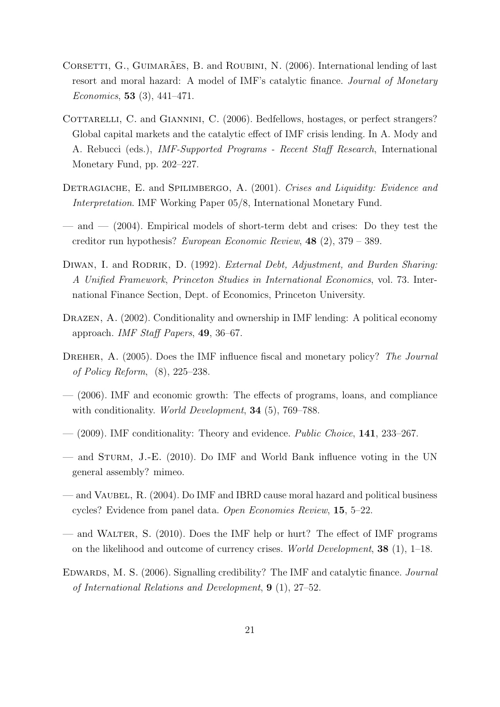- <span id="page-22-0"></span>CORSETTI, G., GUIMARÃES, B. and ROUBINI, N. (2006). International lending of last resort and moral hazard: A model of IMF's catalytic finance. Journal of Monetary Economics, 53 (3), 441–471.
- <span id="page-22-7"></span>COTTARELLI, C. and GIANNINI, C. (2006). Bedfellows, hostages, or perfect strangers? Global capital markets and the catalytic effect of IMF crisis lending. In A. Mody and A. Rebucci (eds.), IMF-Supported Programs - Recent Staff Research, International Monetary Fund, pp. 202–227.
- <span id="page-22-9"></span>DETRAGIACHE, E. and SPILIMBERGO, A. (2001). Crises and Liquidity: Evidence and Interpretation. IMF Working Paper 05/8, International Monetary Fund.
- <span id="page-22-11"></span> $-$  and  $-$  (2004). Empirical models of short-term debt and crises: Do they test the creditor run hypothesis? European Economic Review, 48 (2), 379 – 389.
- <span id="page-22-2"></span>DIWAN, I. and RODRIK, D. (1992). External Debt, Adjustment, and Burden Sharing: A Unified Framework, Princeton Studies in International Economics, vol. 73. International Finance Section, Dept. of Economics, Princeton University.
- <span id="page-22-3"></span>DRAZEN, A. (2002). Conditionality and ownership in IMF lending: A political economy approach. IMF Staff Papers, 49, 36–67.
- <span id="page-22-5"></span>DREHER, A. (2005). Does the IMF influence fiscal and monetary policy? The Journal of Policy Reform, (8), 225–238.
- <span id="page-22-4"></span>— (2006). IMF and economic growth: The effects of programs, loans, and compliance with conditionality. *World Development*, **34** (5), 769–788.
- <span id="page-22-1"></span>— (2009). IMF conditionality: Theory and evidence. Public Choice, 141, 233–267.
- <span id="page-22-12"></span>— and Sturm, J.-E. (2010). Do IMF and World Bank influence voting in the UN general assembly? mimeo.
- <span id="page-22-10"></span>— and Vaubel, R. (2004). Do IMF and IBRD cause moral hazard and political business cycles? Evidence from panel data. Open Economies Review, 15, 5–22.
- <span id="page-22-6"></span>— and Walter, S. (2010). Does the IMF help or hurt? The effect of IMF programs on the likelihood and outcome of currency crises. World Development,  $38$  (1), 1–18.
- <span id="page-22-8"></span>Edwards, M. S. (2006). Signalling credibility? The IMF and catalytic finance. Journal of International Relations and Development, 9 (1), 27–52.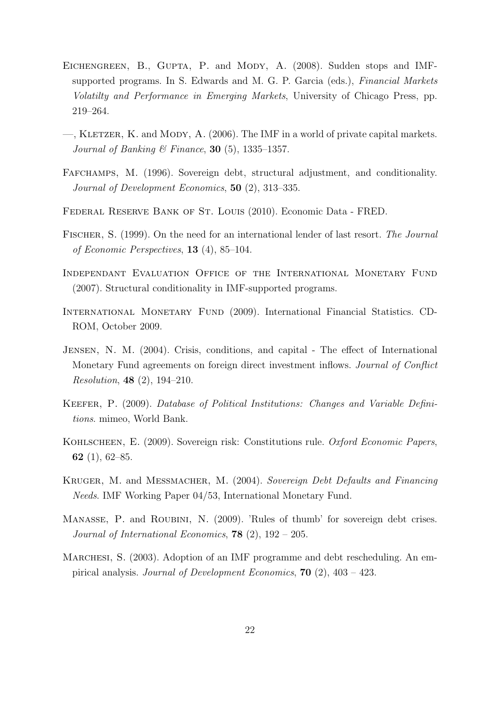- <span id="page-23-3"></span>EICHENGREEN, B., GUPTA, P. and MODY, A. (2008). Sudden stops and IMFsupported programs. In S. Edwards and M. G. P. Garcia (eds.), Financial Markets Volatilty and Performance in Emerging Markets, University of Chicago Press, pp. 219–264.
- <span id="page-23-4"></span> $\overline{\phantom{a}}$ , KLETZER, K. and MODY, A. (2006). The IMF in a world of private capital markets. Journal of Banking & Finance, 30 (5), 1335–1357.
- <span id="page-23-2"></span>Fafchamps, M. (1996). Sovereign debt, structural adjustment, and conditionality. Journal of Development Economics, 50 (2), 313–335.
- <span id="page-23-12"></span>Federal Reserve Bank of St. Louis (2010). Economic Data - FRED.
- <span id="page-23-0"></span>Fischer, S. (1999). On the need for an international lender of last resort. The Journal of Economic Perspectives, 13 (4), 85–104.
- <span id="page-23-1"></span>Independant Evaluation Office of the International Monetary Fund (2007). Structural conditionality in IMF-supported programs.
- <span id="page-23-10"></span>INTERNATIONAL MONETARY FUND (2009). International Financial Statistics. CD-ROM, October 2009.
- <span id="page-23-5"></span>Jensen, N. M. (2004). Crisis, conditions, and capital - The effect of International Monetary Fund agreements on foreign direct investment inflows. Journal of Conflict Resolution, 48 (2), 194–210.
- <span id="page-23-11"></span>KEEFER, P. (2009). Database of Political Institutions: Changes and Variable Definitions. mimeo, World Bank.
- <span id="page-23-6"></span>Kohlscheen, E. (2009). Sovereign risk: Constitutions rule. Oxford Economic Papers, 62 (1), 62–85.
- <span id="page-23-7"></span>KRUGER, M. and MESSMACHER, M. (2004). Sovereign Debt Defaults and Financing Needs. IMF Working Paper 04/53, International Monetary Fund.
- <span id="page-23-9"></span>MANASSE, P. and ROUBINI, N. (2009). 'Rules of thumb' for sovereign debt crises. Journal of International Economics, **78** (2),  $192 - 205$ .
- <span id="page-23-8"></span>MARCHESI, S. (2003). Adoption of an IMF programme and debt rescheduling. An empirical analysis. Journal of Development Economics, 70  $(2)$ , 403 – 423.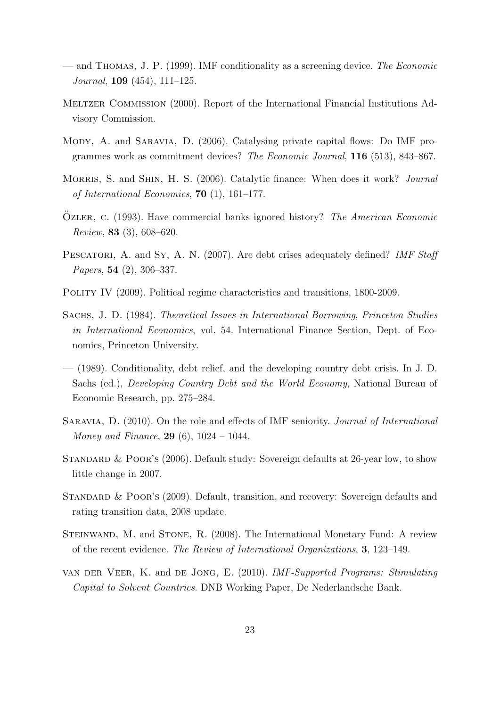- <span id="page-24-5"></span>— and Thomas, J. P. (1999). IMF conditionality as a screening device. The Economic Journal, 109 (454), 111–125.
- <span id="page-24-4"></span>MELTZER COMMISSION (2000). Report of the International Financial Institutions Advisory Commission.
- <span id="page-24-7"></span>Mody, A. and Saravia, D. (2006). Catalysing private capital flows: Do IMF programmes work as commitment devices? The Economic Journal, 116 (513), 843–867.
- <span id="page-24-1"></span>MORRIS, S. and SHIN, H. S. (2006). Catalytic finance: When does it work? Journal of International Economics,  $70$  (1), 161–177.
- <span id="page-24-8"></span>OZLER, C. (1993). Have commercial banks ignored history? The American Economic Review, 83 (3), 608–620.
- <span id="page-24-11"></span>PESCATORI, A. and Sy, A. N. (2007). Are debt crises adequately defined? IMF Staff Papers, 54 (2), 306–337.
- <span id="page-24-13"></span>Polity IV (2009). Political regime characteristics and transitions, 1800-2009.
- <span id="page-24-3"></span>Sachs, J. D. (1984). Theoretical Issues in International Borrowing, Princeton Studies in International Economics, vol. 54. International Finance Section, Dept. of Economics, Princeton University.
- <span id="page-24-6"></span>— (1989). Conditionality, debt relief, and the developing country debt crisis. In J. D. Sachs (ed.), Developing Country Debt and the World Economy, National Bureau of Economic Research, pp. 275–284.
- <span id="page-24-2"></span>SARAVIA, D. (2010). On the role and effects of IMF seniority. *Journal of International* Money and Finance, **29** (6),  $1024 - 1044$ .
- <span id="page-24-10"></span>Standard & Poor's (2006). Default study: Sovereign defaults at 26-year low, to show little change in 2007.
- <span id="page-24-12"></span>Standard & Poor's (2009). Default, transition, and recovery: Sovereign defaults and rating transition data, 2008 update.
- <span id="page-24-0"></span>Steinwand, M. and Stone, R. (2008). The International Monetary Fund: A review of the recent evidence. The Review of International Organizations, 3, 123–149.
- <span id="page-24-9"></span>van der Veer, K. and de Jong, E. (2010). IMF-Supported Programs: Stimulating Capital to Solvent Countries. DNB Working Paper, De Nederlandsche Bank.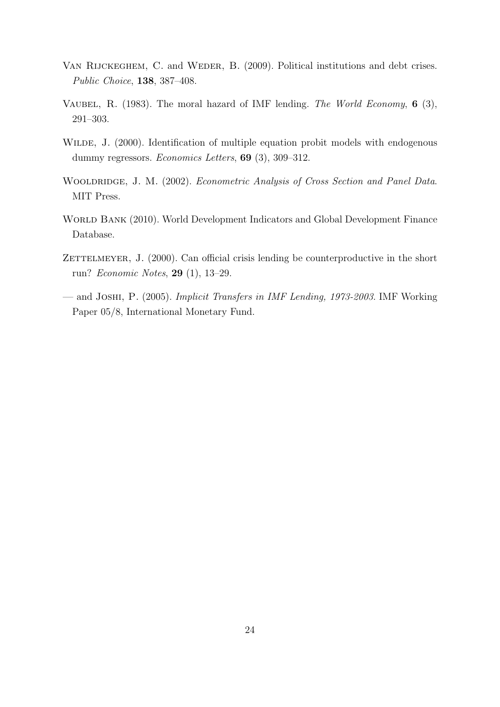- <span id="page-25-5"></span>VAN RIJCKEGHEM, C. and WEDER, B. (2009). Political institutions and debt crises. Public Choice, 138, 387–408.
- <span id="page-25-1"></span>VAUBEL, R. (1983). The moral hazard of IMF lending. The World Economy,  $6$  (3), 291–303.
- <span id="page-25-4"></span>WILDE, J. (2000). Identification of multiple equation probit models with endogenous dummy regressors. Economics Letters, 69 (3), 309–312.
- <span id="page-25-3"></span>WOOLDRIDGE, J. M. (2002). Econometric Analysis of Cross Section and Panel Data. MIT Press.
- <span id="page-25-6"></span>WORLD BANK (2010). World Development Indicators and Global Development Finance Database.
- <span id="page-25-0"></span>ZETTELMEYER, J.  $(2000)$ . Can official crisis lending be counterproductive in the short run? Economic Notes, 29 (1), 13–29.
- <span id="page-25-2"></span>— and Joshi, P. (2005). Implicit Transfers in IMF Lending, 1973-2003. IMF Working Paper 05/8, International Monetary Fund.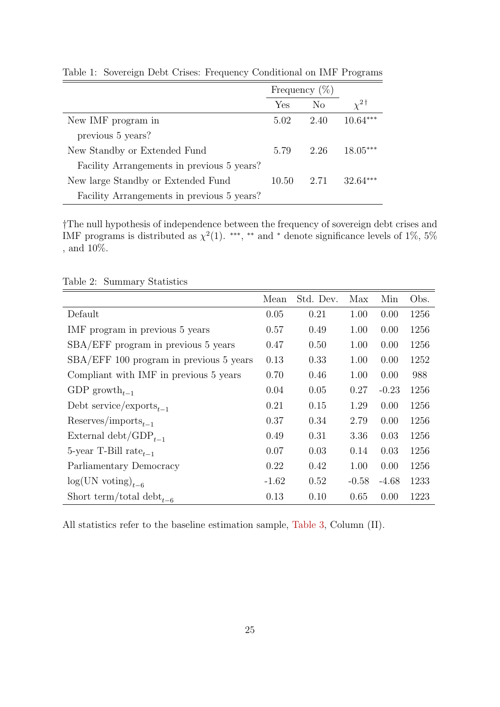|                                            | Frequency $(\%)$ |      |                       |
|--------------------------------------------|------------------|------|-----------------------|
|                                            | Yes              | No   | $\chi^2$ <sup>†</sup> |
| New IMF program in                         | 5.02             | 2.40 | $10.64***$            |
| previous 5 years?                          |                  |      |                       |
| New Standby or Extended Fund               | 5.79             | 2.26 | $18.05***$            |
| Facility Arrangements in previous 5 years? |                  |      |                       |
| New large Standby or Extended Fund         | 10.50            | 2.71 | $32.64***$            |
| Facility Arrangements in previous 5 years? |                  |      |                       |

<span id="page-26-0"></span>Table 1: Sovereign Debt Crises: Frequency Conditional on IMF Programs

†The null hypothesis of independence between the frequency of sovereign debt crises and IMF programs is distributed as  $\chi^2(1)$ . \*\*\*, \*\* and \* denote significance levels of 1%, 5% , and 10%.

<span id="page-26-1"></span>Table 2: Summary Statistics

|                                                  | Mean    | Std. Dev. | Max     | Min     | Obs. |
|--------------------------------------------------|---------|-----------|---------|---------|------|
| Default                                          | 0.05    | 0.21      | 1.00    | 0.00    | 1256 |
| IMF program in previous 5 years                  | 0.57    | 0.49      | 1.00    | 0.00    | 1256 |
| SBA/EFF program in previous 5 years              | 0.47    | 0.50      | 1.00    | 0.00    | 1256 |
| SBA/EFF 100 program in previous 5 years          | 0.13    | 0.33      | 1.00    | 0.00    | 1252 |
| Compliant with IMF in previous 5 years           | 0.70    | 0.46      | 1.00    | 0.00    | 988  |
| GDP growth <sub><math>t-1</math></sub>           | 0.04    | 0.05      | 0.27    | $-0.23$ | 1256 |
| Debt service/exports <sub><math>t-1</math></sub> | 0.21    | 0.15      | 1.29    | 0.00    | 1256 |
| $Reserves/imports_{t-1}$                         | 0.37    | 0.34      | 2.79    | 0.00    | 1256 |
| External debt/GDP <sub>t-1</sub>                 | 0.49    | 0.31      | 3.36    | 0.03    | 1256 |
| 5-year T-Bill rate <sub><math>t-1</math></sub>   | 0.07    | 0.03      | 0.14    | 0.03    | 1256 |
| Parliamentary Democracy                          | 0.22    | 0.42      | 1.00    | 0.00    | 1256 |
| $\log$ (UN voting) <sub>t-6</sub>                | $-1.62$ | 0.52      | $-0.58$ | $-4.68$ | 1233 |
| Short term/total ${\rm debt}_{t-6}$              | 0.13    | 0.10      | 0.65    | 0.00    | 1223 |

All statistics refer to the baseline estimation sample, [Table 3,](#page-27-0) Column (II).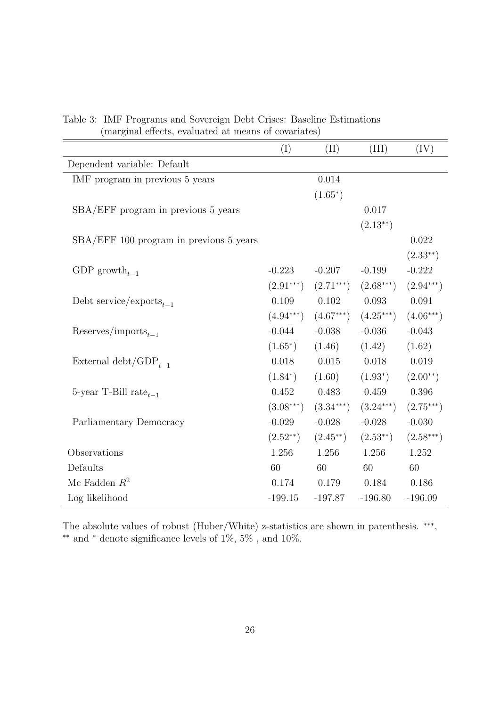|                                                  | (I)           | (II)          | (III)         | (IV)          |
|--------------------------------------------------|---------------|---------------|---------------|---------------|
| Dependent variable: Default                      |               |               |               |               |
| IMF program in previous 5 years                  |               | $0.014\,$     |               |               |
|                                                  |               | $(1.65^*)$    |               |               |
| SBA/EFF program in previous 5 years              |               |               | 0.017         |               |
|                                                  |               |               | $(2.13^{**})$ |               |
| $SBA/EFF 100 program$ in previous 5 years        |               |               |               | 0.022         |
|                                                  |               |               |               | $(2.33^{**})$ |
| GDP growth <sub><math>t-1</math></sub>           | $-0.223$      | $-0.207$      | $-0.199$      | $-0.222$      |
|                                                  | $(2.91***)$   | $(2.71***)$   | $(2.68***)$   | $(2.94***)$   |
| Debt service/exports <sub><math>t-1</math></sub> | 0.109         | 0.102         | 0.093         | 0.091         |
|                                                  | $(4.94***)$   | $(4.67***)$   | $(4.25***)$   | $(4.06***)$   |
| $Reserves/imports_{t-1}$                         | $-0.044$      | $-0.038$      | $-0.036$      | $-0.043$      |
|                                                  | $(1.65^*)$    | (1.46)        | (1.42)        | (1.62)        |
| External debt/GDP <sub>t-1</sub>                 | 0.018         | 0.015         | 0.018         | $0.019\,$     |
|                                                  | $(1.84^*)$    | (1.60)        | $(1.93^*)$    | $(2.00^{**})$ |
| 5-year T-Bill rate $_{t-1}$                      | 0.452         | 0.483         | 0.459         | 0.396         |
|                                                  | $(3.08***)$   | $(3.34***)$   | $(3.24***)$   | $(2.75***)$   |
| Parliamentary Democracy                          | $-0.029$      | $-0.028$      | $-0.028$      | $-0.030$      |
|                                                  | $(2.52^{**})$ | $(2.45^{**})$ | $(2.53^{**})$ | $(2.58***)$   |
| Observations                                     | 1.256         | 1.256         | 1.256         | 1.252         |
| Defaults                                         | 60            | 60            | 60            | 60            |
| Mc Fadden $R^2$                                  | 0.174         | 0.179         | 0.184         | 0.186         |
| Log likelihood                                   | $-199.15$     | $-197.87$     | $-196.80$     | $-196.09$     |

<span id="page-27-0"></span>Table 3: IMF Programs and Sovereign Debt Crises: Baseline Estimations (marginal effects, evaluated at means of covariates)

The absolute values of robust (Huber/White) z-statistics are shown in parenthesis. \*\*\*, ∗∗ and <sup>∗</sup> denote significance levels of 1%, 5% , and 10%.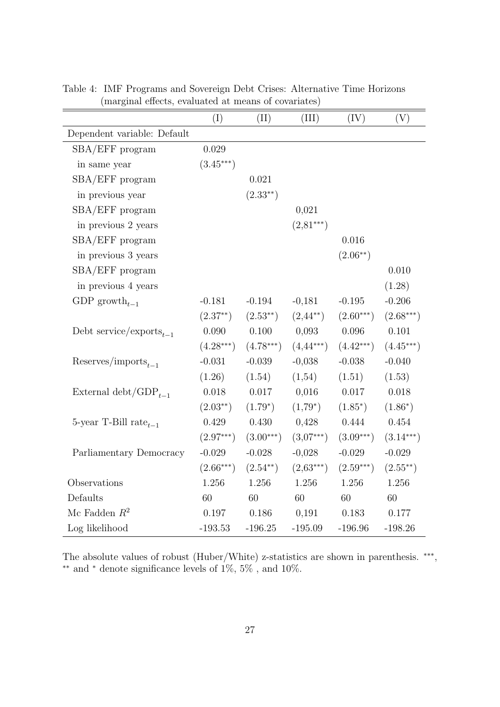|                                                  | (I)           | (II)          | (III)         | (IV)          | (V)           |
|--------------------------------------------------|---------------|---------------|---------------|---------------|---------------|
| Dependent variable: Default                      |               |               |               |               |               |
| SBA/EFF program                                  | 0.029         |               |               |               |               |
| in same year                                     | $(3.45***)$   |               |               |               |               |
| SBA/EFF program                                  |               | 0.021         |               |               |               |
| in previous year                                 |               | $(2.33^{**})$ |               |               |               |
| SBA/EFF program                                  |               |               | 0,021         |               |               |
| in previous 2 years                              |               |               | $(2,81***)$   |               |               |
| $SBA/EFF$ program                                |               |               |               | 0.016         |               |
| in previous 3 years                              |               |               |               | $(2.06^{**})$ |               |
| SBA/EFF program                                  |               |               |               |               | 0.010         |
| in previous 4 years                              |               |               |               |               | (1.28)        |
| GDP growth <sub><math>t-1</math></sub>           | $-0.181$      | $-0.194$      | $-0,181$      | $-0.195$      | $-0.206$      |
|                                                  | $(2.37**)$    | $(2.53^{**})$ | $(2,44^{**})$ | $(2.60***)$   | $(2.68***)$   |
| Debt service/exports <sub><math>t-1</math></sub> | 0.090         | 0.100         | 0,093         | 0.096         | 0.101         |
|                                                  | $(4.28***)$   | $(4.78***)$   | $(4,44***)$   | $(4.42***)$   | $(4.45***)$   |
| $Reserves/imports_{t-1}$                         | $-0.031$      | $-0.039$      | $-0,038$      | $-0.038$      | $-0.040$      |
|                                                  | (1.26)        | (1.54)        | (1,54)        | (1.51)        | (1.53)        |
| External debt/GDP <sub><math>t-1</math></sub>    | $0.018\,$     | $0.017\,$     | 0,016         | 0.017         | $0.018\,$     |
|                                                  | $(2.03^{**})$ | $(1.79^*)$    | $(1,79^*)$    | $(1.85^*)$    | $(1.86^*)$    |
| 5-year T-Bill rate $_{t-1}$                      | 0.429         | 0.430         | 0,428         | 0.444         | 0.454         |
|                                                  | $(2.97***)$   | $(3.00***)$   | $(3,07***)$   | $(3.09***)$   | $(3.14***)$   |
| Parliamentary Democracy                          | $-0.029$      | $-0.028$      | $-0,028$      | $-0.029$      | $-0.029$      |
|                                                  | $(2.66***)$   | $(2.54^{**})$ | $(2,63***)$   | $(2.59***)$   | $(2.55^{**})$ |
| Observations                                     | 1.256         | 1.256         | 1.256         | 1.256         | 1.256         |
| Defaults                                         | 60            | 60            | 60            | 60            | 60            |
| Mc Fadden $R^2$                                  | 0.197         | 0.186         | 0,191         | 0.183         | 0.177         |
| Log likelihood                                   | $-193.53$     | $-196.25$     | $-195.09$     | $-196.96$     | $-198.26$     |

<span id="page-28-0"></span>Table 4: IMF Programs and Sovereign Debt Crises: Alternative Time Horizons (marginal effects, evaluated at means of covariates)

The absolute values of robust (Huber/White) z-statistics are shown in parenthesis. \*\*\*,  $*∗$  and  $*$  denote significance levels of  $1\%$ ,  $5\%$  , and  $10\%$ .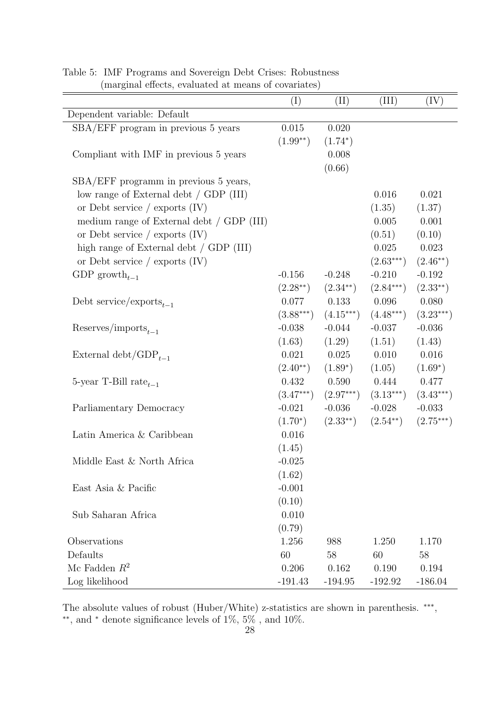|                                                                | (I)           | (II)          | (III)         | (IV)          |
|----------------------------------------------------------------|---------------|---------------|---------------|---------------|
| Dependent variable: Default                                    |               |               |               |               |
| $\overline{\text{SBA}}/\text{EFF}$ program in previous 5 years | 0.015         | 0.020         |               |               |
|                                                                | $(1.99^{**})$ | $(1.74^*)$    |               |               |
| Compliant with IMF in previous 5 years                         |               | 0.008         |               |               |
|                                                                |               | (0.66)        |               |               |
| SBA/EFF programm in previous 5 years,                          |               |               |               |               |
| low range of External debt / GDP (III)                         |               |               | 0.016         | 0.021         |
| or Debt service / exports $(IV)$                               |               |               | (1.35)        | (1.37)        |
| medium range of External debt $/$ GDP (III)                    |               |               | 0.005         | 0.001         |
| or Debt service / exports $(IV)$                               |               |               | (0.51)        | (0.10)        |
| high range of External debt / GDP (III)                        |               |               | 0.025         | 0.023         |
| or Debt service / exports $(IV)$                               |               |               | $(2.63***)$   | $(2.46^{**})$ |
| GDP growth <sub><math>t-1</math></sub>                         | $-0.156$      | $-0.248$      | $-0.210$      | $-0.192$      |
|                                                                | $(2.28^{**})$ | $(2.34^{**})$ | $(2.84***)$   | $(2.33^{**})$ |
| Debt service/exports <sub><math>t-1</math></sub>               | 0.077         | 0.133         | 0.096         | 0.080         |
|                                                                | $(3.88***)$   | $(4.15***)$   | $(4.48***)$   | $(3.23***)$   |
| $Reserves/imports_{t-1}$                                       | $-0.038$      | $-0.044$      | $-0.037$      | $-0.036$      |
|                                                                | (1.63)        | (1.29)        | (1.51)        | (1.43)        |
| External ${\rm debt}/{\rm GDP}_{t-1}$                          | 0.021         | 0.025         | 0.010         | 0.016         |
|                                                                | $(2.40^{**})$ | $(1.89^*)$    | (1.05)        | $(1.69^*)$    |
| 5-year T-Bill rate <sub><math>t-1</math></sub>                 | 0.432         | 0.590         | 0.444         | 0.477         |
|                                                                | $(3.47***)$   | $(2.97***)$   | $(3.13***)$   | $(3.43***)$   |
| Parliamentary Democracy                                        | $-0.021$      | $-0.036$      | $-0.028$      | $-0.033$      |
|                                                                | $(1.70^*)$    | $(2.33^{**})$ | $(2.54^{**})$ | $(2.75***)$   |
| Latin America & Caribbean                                      | 0.016         |               |               |               |
|                                                                | (1.45)        |               |               |               |
| Middle East & North Africa                                     | $-0.025$      |               |               |               |
|                                                                | (1.62)        |               |               |               |
| East Asia & Pacific                                            | $-0.001$      |               |               |               |
|                                                                | (0.10)        |               |               |               |
| Sub Saharan Africa                                             | 0.010         |               |               |               |
|                                                                | (0.79)        |               |               |               |
| Observations                                                   | 1.256         | 988           | 1.250         | 1.170         |
| Defaults                                                       | 60            | 58            | 60            | $58\,$        |
| Mc Fadden $R^2$                                                | 0.206         | 0.162         | 0.190         | 0.194         |
| Log likelihood                                                 | $-191.43$     | $-194.95$     | $-192.92$     | $-186.04$     |

<span id="page-29-0"></span>Table 5: IMF Programs and Sovereign Debt Crises: Robustness (marginal effects, evaluated at means of covariates)

The absolute values of robust (Huber/White) z-statistics are shown in parenthesis. \*\*\*,  $^{**},$  and  $^{*}$  denote significance levels of  $1\%,\,5\%$  , and  $10\%.$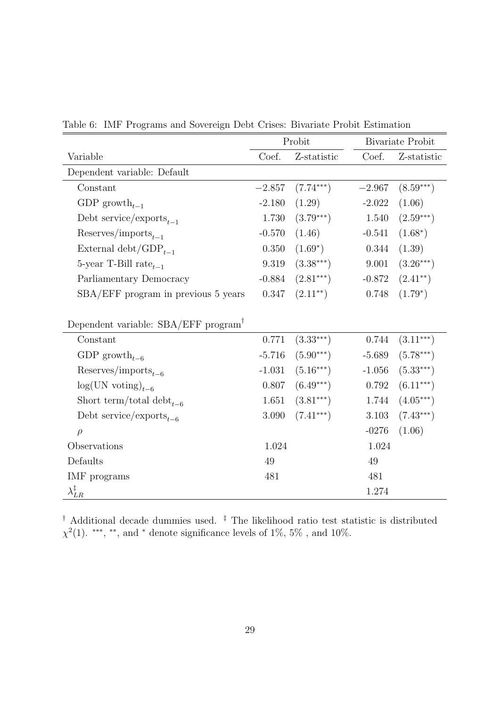|                                                   | Probit   |               |          | <b>Bivariate Probit</b> |
|---------------------------------------------------|----------|---------------|----------|-------------------------|
| Variable                                          | Coef.    | Z-statistic   | Coef.    | Z-statistic             |
| Dependent variable: Default                       |          |               |          |                         |
| Constant                                          | $-2.857$ | $(7.74***)$   | $-2.967$ | $(8.59***)$             |
| GDP growth <sub><math>t-1</math></sub>            | $-2.180$ | (1.29)        | $-2.022$ | (1.06)                  |
| Debt service/exports $_{t-1}$                     | 1.730    | $(3.79***)$   | 1.540    | $(2.59***)$             |
| $Reserves/imports_{t-1}$                          | $-0.570$ | (1.46)        | $-0.541$ | $(1.68^*)$              |
| External debt/GDP $_{t-1}$                        | 0.350    | $(1.69^*)$    | 0.344    | (1.39)                  |
| 5-year T-Bill rate<br>$_{t-1}$                    | 9.319    | $(3.38***)$   | 9.001    | $(3.26***)$             |
| Parliamentary Democracy                           | $-0.884$ | $(2.81***)$   | $-0.872$ | $(2.41**)$              |
| SBA/EFF program in previous 5 years               | 0.347    | $(2.11^{**})$ | 0.748    | $(1.79^{*})$            |
| Dependent variable: SBA/EFF program <sup>†</sup>  |          |               |          |                         |
| Constant                                          | 0.771    | $(3.33***)$   | 0.744    | $(3.11***)$             |
| GDP growth <sub><math>t-6</math></sub>            | $-5.716$ | $(5.90***)$   | $-5.689$ | $(5.78***)$             |
| $Reserves/imports_{t-6}$                          | $-1.031$ | $(5.16***)$   | $-1.056$ | $(5.33***)$             |
| $\log$ (UN voting) <sub>t-6</sub>                 | 0.807    | $(6.49***)$   | 0.792    | $(6.11***)$             |
| Short term/total debt <sub><math>t=6</math></sub> | 1.651    | $(3.81***)$   | 1.744    | $(4.05***)$             |
| Debt service/exports <sub><math>t-6</math></sub>  | 3.090    | $(7.41***)$   | 3.103    | $(7.43***)$             |
| $\rho$                                            |          |               | $-0276$  | (1.06)                  |
| Observations                                      | 1.024    |               | 1.024    |                         |
| Defaults                                          | 49       |               | 49       |                         |
| IMF programs                                      | 481      |               | 481      |                         |
| $\lambda_{LR}^{\ddagger}$                         |          |               | 1.274    |                         |

<span id="page-30-0"></span>Table 6: IMF Programs and Sovereign Debt Crises: Bivariate Probit Estimation

† Additional decade dummies used. ‡ The likelihood ratio test statistic is distributed  $\chi^2(1)$ . \*\*\*, \*\*, and \* denote significance levels of 1\%, 5\% , and 10\%.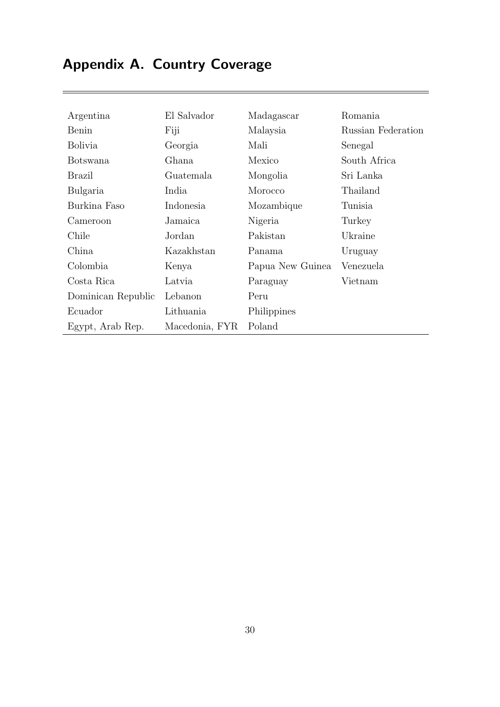# <span id="page-31-0"></span>Appendix A. Country Coverage

| Argentina          | El Salvador    | Madagascar       | Romania            |
|--------------------|----------------|------------------|--------------------|
| Benin              | Fiji           | Malaysia         | Russian Federation |
| <b>Bolivia</b>     | Georgia        | Mali             | Senegal            |
| Botswana           | Ghana          | Mexico           | South Africa       |
| Brazil             | Guatemala      | Mongolia         | Sri Lanka          |
| Bulgaria           | India          | Morocco          | Thailand           |
| Burkina Faso       | Indonesia      | Mozambique       | Tunisia            |
| Cameroon           | Jamaica        | Nigeria          | Turkey             |
| Chile              | Jordan         | Pakistan         | Ukraine            |
| China              | Kazakhstan     | Panama           | Uruguay            |
| Colombia           | Kenya          | Papua New Guinea | Venezuela          |
| Costa Rica         | Latvia         | Paraguay         | Vietnam            |
| Dominican Republic | Lebanon        | Peru             |                    |
| Ecuador            | Lithuania      | Philippines      |                    |
| Egypt, Arab Rep.   | Macedonia, FYR | Poland           |                    |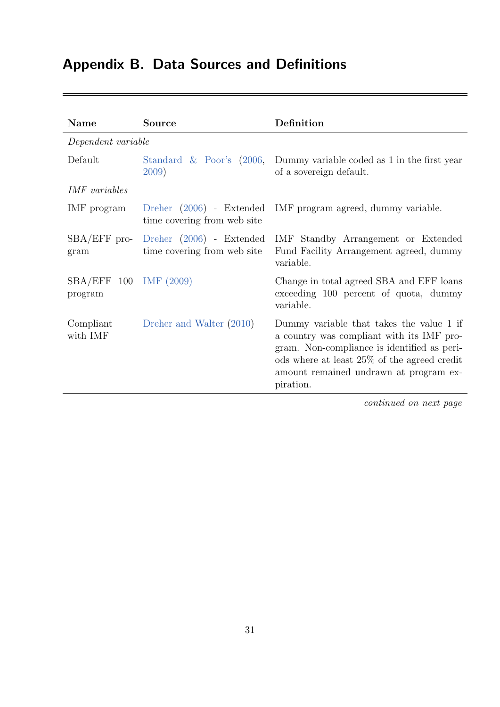# Appendix B. Data Sources and Definitions

| Name                                  | Source                                                    | Definition                                                                                                                                                                                                                                 |  |
|---------------------------------------|-----------------------------------------------------------|--------------------------------------------------------------------------------------------------------------------------------------------------------------------------------------------------------------------------------------------|--|
| Dependent variable                    |                                                           |                                                                                                                                                                                                                                            |  |
| Default                               | Standard & Poor's $(2006,$<br>2009)                       | Dummy variable coded as 1 in the first year<br>of a sovereign default.                                                                                                                                                                     |  |
| <b>IMF</b> variables                  |                                                           |                                                                                                                                                                                                                                            |  |
| IMF program                           | Dreher (2006) - Extended<br>time covering from web site   | IMF program agreed, dummy variable.                                                                                                                                                                                                        |  |
| $SBA/EFF$ pro-<br>gram                | Dreher $(2006)$ - Extended<br>time covering from web site | IMF Standby Arrangement or Extended<br>Fund Facility Arrangement agreed, dummy<br>variable.                                                                                                                                                |  |
| $SBA/EFF 100$ IMF $(2009)$<br>program |                                                           | Change in total agreed SBA and EFF loans<br>exceeding 100 percent of quota, dummy<br>variable.                                                                                                                                             |  |
| Compliant<br>with IMF                 | Dreher and Walter (2010)                                  | Dummy variable that takes the value 1 if<br>a country was compliant with its IMF pro-<br>gram. Non-compliance is identified as peri-<br>ods where at least 25% of the agreed credit<br>amount remained undrawn at program ex-<br>piration. |  |

continued on next page